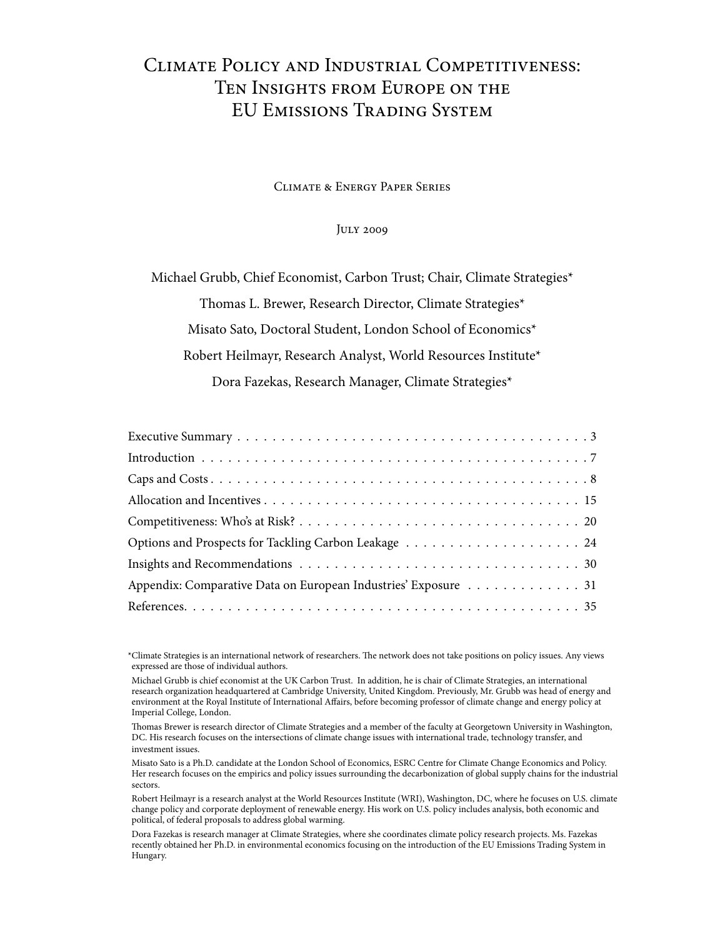### Climate Policy and Industrial Competitiveness: Ten Insights from Europe on the EU Emissions Trading System

Climate & Energy Paper Series

July 2009

Michael Grubb, Chief Economist, Carbon Trust; Chair, Climate Strategies\* Thomas L. Brewer, Research Director, Climate Strategies\* Misato Sato, Doctoral Student, London School of Economics\* Robert Heilmayr, Research Analyst, World Resources Institute\* Dora Fazekas, Research Manager, Climate Strategies\*

| Appendix: Comparative Data on European Industries' Exposure 31 |
|----------------------------------------------------------------|
|                                                                |

\*Climate Strategies is an international network of researchers. The network does not take positions on policy issues. Any views expressed are those of individual authors.

\*Michael Grubb is chief economist at the UK Carbon Trust. In addition, he is chair of Climate Strategies, an international research organization headquartered at Cambridge University, United Kingdom. Previously, Mr. Grubb was head of energy and environment at the Royal Institute of International Affairs, before becoming professor of climate change and energy policy at Imperial College, London.

\*Thomas Brewer is research director of Climate Strategies and a member of the faculty at Georgetown University in Washington, DC. His research focuses on the intersections of climate change issues with international trade, technology transfer, and investment issues.\*

\*Misato Sato is a Ph.D. candidate at the London School of Economics, ESRC Centre for Climate Change Economics and Policy. Her research focuses on the empirics and policy issues surrounding the decarbonization of global supply chains for the industrial sectors.

Robert Heilmayr is a research analyst at the World Resources Institute (WRI), Washington, DC, where he focuses on U.S. climate change policy and corporate deployment of renewable energy. His work on U.S. policy includes analysis, both economic and political, of federal proposals to address global warming.

Dora Fazekas is research manager at Climate Strategies, where she coordinates climate policy research projects. Ms. Fazekas recently obtained her Ph.D. in environmental economics focusing on the introduction of the EU Emissions Trading System in Hungary.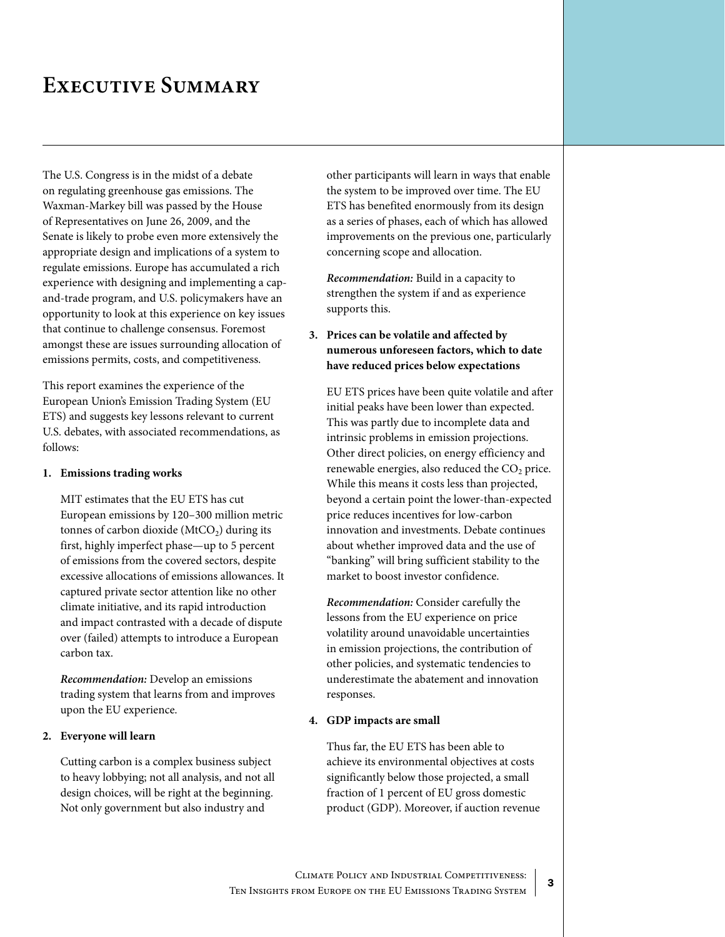## <span id="page-2-0"></span>**Executive Summary**

The U.S. Congress is in the midst of a debate on regulating greenhouse gas emissions. The Waxman-Markey bill was passed by the House of Representatives on June 26, 2009, and the Senate is likely to probe even more extensively the appropriate design and implications of a system to regulate emissions. Europe has accumulated a rich experience with designing and implementing a capand-trade program, and U.S. policymakers have an opportunity to look at this experience on key issues that continue to challenge consensus. Foremost amongst these are issues surrounding allocation of emissions permits, costs, and competitiveness.

This report examines the experience of the European Union's Emission Trading System (EU ETS) and suggests key lessons relevant to current U.S. debates, with associated recommendations, as follows:

#### **1. Emissions trading works**

MIT estimates that the EU ETS has cut European emissions by 120–300 million metric tonnes of carbon dioxide ( $MtCO<sub>2</sub>$ ) during its first, highly imperfect phase—up to 5 percent of emissions from the covered sectors, despite excessive allocations of emissions allowances. It captured private sector attention like no other climate initiative, and its rapid introduction and impact contrasted with a decade of dispute over (failed) attempts to introduce a European carbon tax.

*Recommendation:* Develop an emissions trading system that learns from and improves upon the EU experience.

#### **2. Everyone will learn**

 Cutting carbon is a complex business subject to heavy lobbying; not all analysis, and not all design choices, will be right at the beginning. Not only government but also industry and

other participants will learn in ways that enable the system to be improved over time. The EU ETS has benefited enormously from its design as a series of phases, each of which has allowed improvements on the previous one, particularly concerning scope and allocation.

*Recommendation:* Build in a capacity to strengthen the system if and as experience supports this.

#### **3. Prices can be volatile and affected by numerous unforeseen factors, which to date have reduced prices below expectations**

 EU ETS prices have been quite volatile and after initial peaks have been lower than expected. This was partly due to incomplete data and intrinsic problems in emission projections. Other direct policies, on energy efficiency and renewable energies, also reduced the  $CO<sub>2</sub>$  price. While this means it costs less than projected, beyond a certain point the lower-than-expected price reduces incentives for low-carbon innovation and investments. Debate continues about whether improved data and the use of "banking" will bring sufficient stability to the market to boost investor confidence.

*Recommendation:* Consider carefully the lessons from the EU experience on price volatility around unavoidable uncertainties in emission projections, the contribution of other policies, and systematic tendencies to underestimate the abatement and innovation responses.

#### **4. GDP impacts are small**

 Thus far, the EU ETS has been able to achieve its environmental objectives at costs significantly below those projected, a small fraction of 1 percent of EU gross domestic product (GDP). Moreover, if auction revenue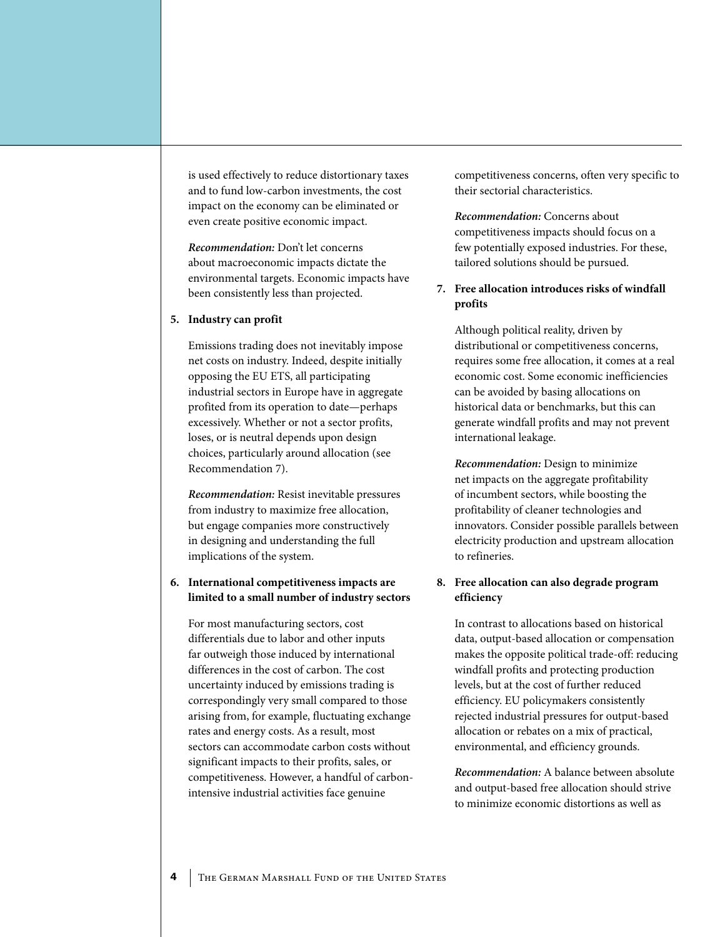is used effectively to reduce distortionary taxes and to fund low-carbon investments, the cost impact on the economy can be eliminated or even create positive economic impact.

*Recommendation:* Don't let concerns about macroeconomic impacts dictate the environmental targets. Economic impacts have been consistently less than projected.

#### **5. Industry can profit**

Emissions trading does not inevitably impose net costs on industry. Indeed, despite initially opposing the EU ETS, all participating industrial sectors in Europe have in aggregate profited from its operation to date—perhaps excessively. Whether or not a sector profits, loses, or is neutral depends upon design choices, particularly around allocation (see Recommendation 7).

*Recommendation:* Resist inevitable pressures from industry to maximize free allocation, but engage companies more constructively in designing and understanding the full implications of the system.

#### **6. International competitiveness impacts are limited to a small number of industry sectors**

For most manufacturing sectors, cost differentials due to labor and other inputs far outweigh those induced by international differences in the cost of carbon. The cost uncertainty induced by emissions trading is correspondingly very small compared to those arising from, for example, fluctuating exchange rates and energy costs. As a result, most sectors can accommodate carbon costs without significant impacts to their profits, sales, or competitiveness. However, a handful of carbonintensive industrial activities face genuine

competitiveness concerns, often very specific to their sectorial characteristics.

*Recommendation:* Concerns about competitiveness impacts should focus on a few potentially exposed industries. For these, tailored solutions should be pursued.

#### **7. Free allocation introduces risks of windfall profits**

Although political reality, driven by distributional or competitiveness concerns, requires some free allocation, it comes at a real economic cost. Some economic inefficiencies can be avoided by basing allocations on historical data or benchmarks, but this can generate windfall profits and may not prevent international leakage.

*Recommendation:* Design to minimize net impacts on the aggregate profitability of incumbent sectors, while boosting the profitability of cleaner technologies and innovators. Consider possible parallels between electricity production and upstream allocation to refineries.

#### **8. Free allocation can also degrade program efficiency**

In contrast to allocations based on historical data, output-based allocation or compensation makes the opposite political trade-off: reducing windfall profits and protecting production levels, but at the cost of further reduced efficiency. EU policymakers consistently rejected industrial pressures for output-based allocation or rebates on a mix of practical, environmental, and efficiency grounds.

*Recommendation:* A balance between absolute and output-based free allocation should strive to minimize economic distortions as well as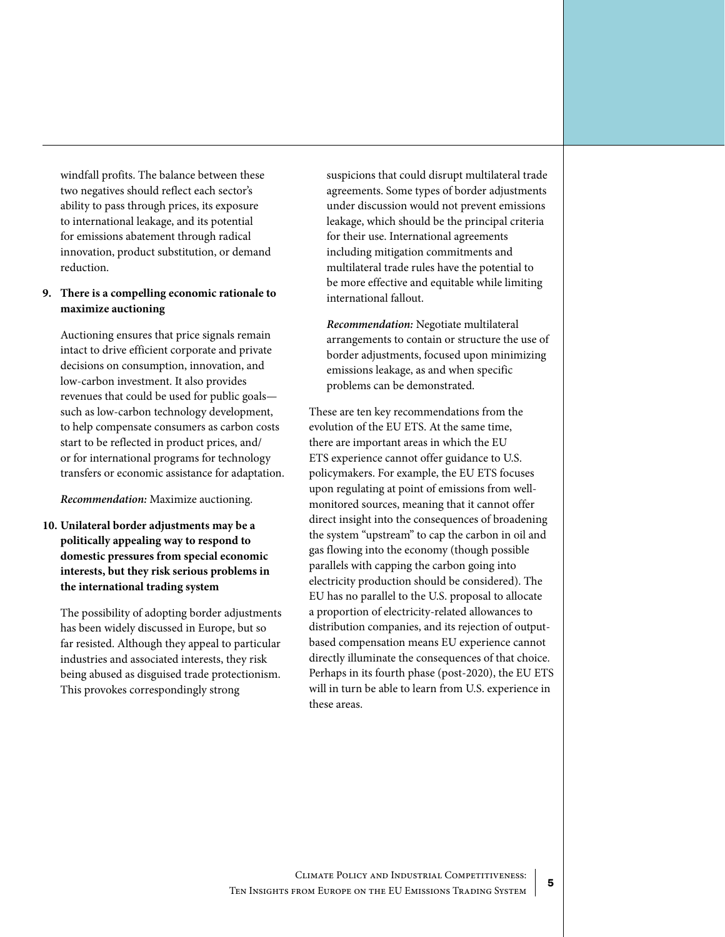windfall profits. The balance between these two negatives should reflect each sector's ability to pass through prices, its exposure to international leakage, and its potential for emissions abatement through radical innovation, product substitution, or demand reduction.

#### **9. There is a compelling economic rationale to maximize auctioning**

Auctioning ensures that price signals remain intact to drive efficient corporate and private decisions on consumption, innovation, and low-carbon investment. It also provides revenues that could be used for public goals such as low-carbon technology development, to help compensate consumers as carbon costs start to be reflected in product prices, and/ or for international programs for technology transfers or economic assistance for adaptation.

*Recommendation:* Maximize auctioning.

**10. Unilateral border adjustments may be a politically appealing way to respond to domestic pressures from special economic interests, but they risk serious problems in the international trading system**

The possibility of adopting border adjustments has been widely discussed in Europe, but so far resisted. Although they appeal to particular industries and associated interests, they risk being abused as disguised trade protectionism. This provokes correspondingly strong

suspicions that could disrupt multilateral trade agreements. Some types of border adjustments under discussion would not prevent emissions leakage, which should be the principal criteria for their use. International agreements including mitigation commitments and multilateral trade rules have the potential to be more effective and equitable while limiting international fallout.

*Recommendation:* Negotiate multilateral arrangements to contain or structure the use of border adjustments, focused upon minimizing emissions leakage, as and when specific problems can be demonstrated.

These are ten key recommendations from the evolution of the EU ETS. At the same time, there are important areas in which the EU ETS experience cannot offer guidance to U.S. policymakers. For example, the EU ETS focuses upon regulating at point of emissions from wellmonitored sources, meaning that it cannot offer direct insight into the consequences of broadening the system "upstream" to cap the carbon in oil and gas flowing into the economy (though possible parallels with capping the carbon going into electricity production should be considered). The EU has no parallel to the U.S. proposal to allocate a proportion of electricity-related allowances to distribution companies, and its rejection of outputbased compensation means EU experience cannot directly illuminate the consequences of that choice. Perhaps in its fourth phase (post-2020), the EU ETS will in turn be able to learn from U.S. experience in these areas.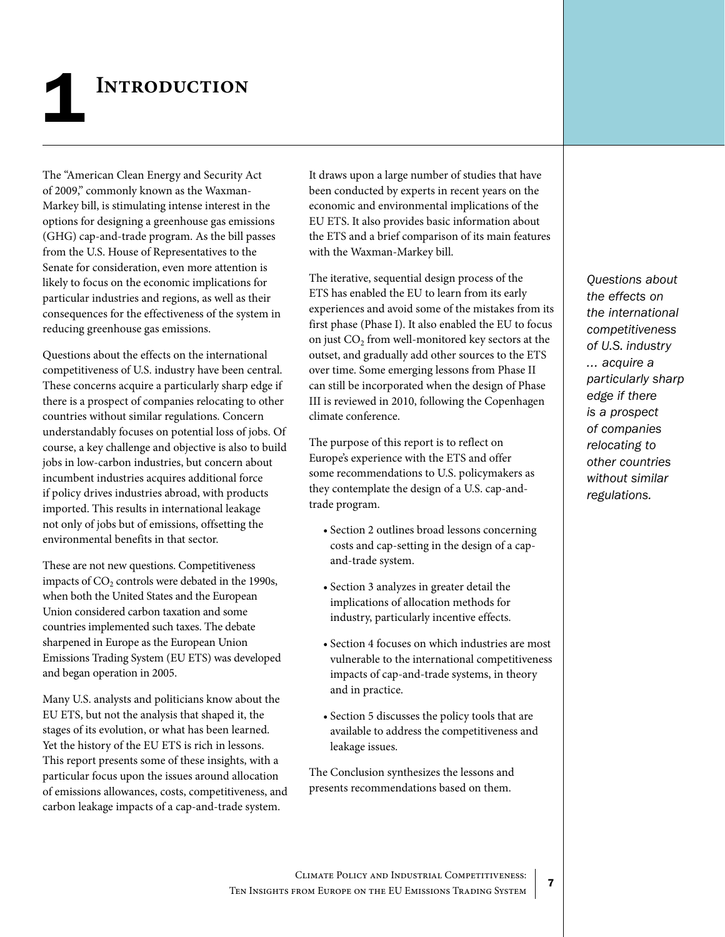# <span id="page-6-0"></span>**INTRODUCTION**

The "American Clean Energy and Security Act of 2009," commonly known as the Waxman-Markey bill, is stimulating intense interest in the options for designing a greenhouse gas emissions (GHG) cap-and-trade program. As the bill passes from the U.S. House of Representatives to the Senate for consideration, even more attention is likely to focus on the economic implications for particular industries and regions, as well as their consequences for the effectiveness of the system in reducing greenhouse gas emissions.

Questions about the effects on the international competitiveness of U.S. industry have been central. These concerns acquire a particularly sharp edge if there is a prospect of companies relocating to other countries without similar regulations. Concern understandably focuses on potential loss of jobs. Of course, a key challenge and objective is also to build jobs in low-carbon industries, but concern about incumbent industries acquires additional force if policy drives industries abroad, with products imported. This results in international leakage not only of jobs but of emissions, offsetting the environmental benefits in that sector.

These are not new questions. Competitiveness impacts of  $CO<sub>2</sub>$  controls were debated in the 1990s, when both the United States and the European Union considered carbon taxation and some countries implemented such taxes. The debate sharpened in Europe as the European Union Emissions Trading System (EU ETS) was developed and began operation in 2005.

Many U.S. analysts and politicians know about the EU ETS, but not the analysis that shaped it, the stages of its evolution, or what has been learned. Yet the history of the EU ETS is rich in lessons. This report presents some of these insights, with a particular focus upon the issues around allocation of emissions allowances, costs, competitiveness, and carbon leakage impacts of a cap-and-trade system.

It draws upon a large number of studies that have been conducted by experts in recent years on the economic and environmental implications of the EU ETS. It also provides basic information about the ETS and a brief comparison of its main features with the Waxman-Markey bill.

The iterative, sequential design process of the ETS has enabled the EU to learn from its early experiences and avoid some of the mistakes from its first phase (Phase I). It also enabled the EU to focus on just CO<sub>2</sub> from well-monitored key sectors at the outset, and gradually add other sources to the ETS over time. Some emerging lessons from Phase II can still be incorporated when the design of Phase III is reviewed in 2010, following the Copenhagen climate conference.

The purpose of this report is to reflect on Europe's experience with the ETS and offer some recommendations to U.S. policymakers as they contemplate the design of a U.S. cap-andtrade program.

- Section 2 outlines broad lessons concerning costs and cap-setting in the design of a capand-trade system.
- • Section 3 analyzes in greater detail the implications of allocation methods for industry, particularly incentive effects.
- • Section 4 focuses on which industries are most vulnerable to the international competitiveness impacts of cap-and-trade systems, in theory and in practice.
- • Section 5 discusses the policy tools that are available to address the competitiveness and leakage issues.

The Conclusion synthesizes the lessons and presents recommendations based on them.

*Questions about the effects on the international competitiveness of U.S. industry ... acquire a particularly sharp edge if there is a prospect of companies relocating to other countries without similar regulations.*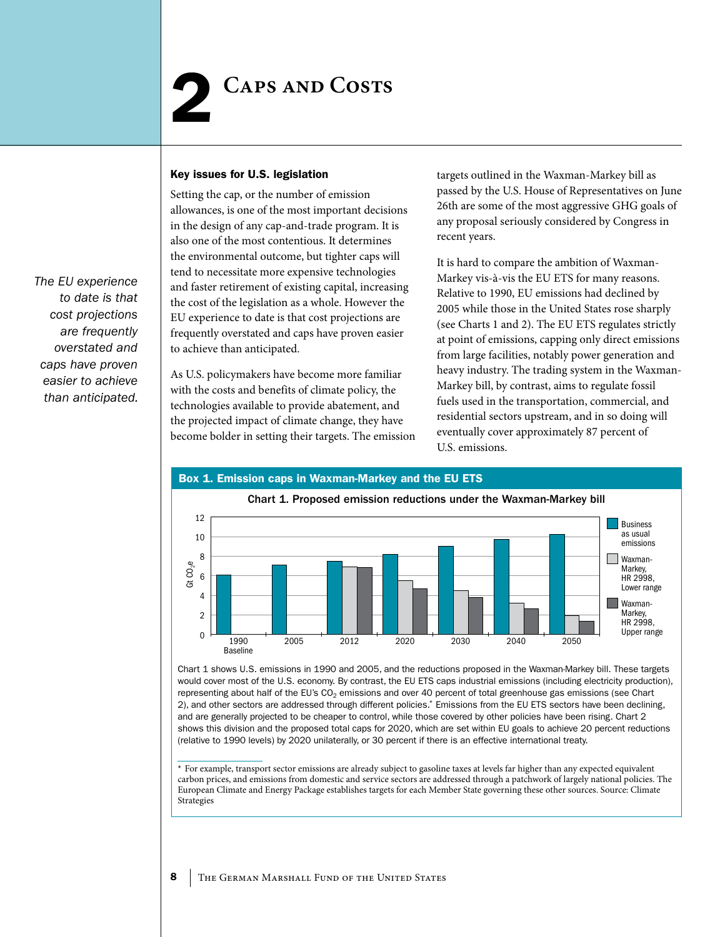#### <span id="page-7-0"></span>Key issues for U.S. legislation

Setting the cap, or the number of emission allowances, is one of the most important decisions in the design of any cap-and-trade program. It is also one of the most contentious. It determines the environmental outcome, but tighter caps will tend to necessitate more expensive technologies and faster retirement of existing capital, increasing the cost of the legislation as a whole. However the EU experience to date is that cost projections are frequently overstated and caps have proven easier to achieve than anticipated.

As U.S. policymakers have become more familiar with the costs and benefits of climate policy, the technologies available to provide abatement, and the projected impact of climate change, they have become bolder in setting their targets. The emission targets outlined in the Waxman-Markey bill as passed by the U.S. House of Representatives on June 26th are some of the most aggressive GHG goals of any proposal seriously considered by Congress in recent years.

It is hard to compare the ambition of Waxman-Markey vis-à-vis the EU ETS for many reasons. Relative to 1990, EU emissions had declined by 2005 while those in the United States rose sharply (see Charts 1 and 2). The EU ETS regulates strictly at point of emissions, capping only direct emissions from large facilities, notably power generation and heavy industry. The trading system in the Waxman-Markey bill, by contrast, aims to regulate fossil fuels used in the transportation, commercial, and residential sectors upstream, and in so doing will eventually cover approximately 87 percent of U.S. emissions.



Chart 1 shows U.S. emissions in 1990 and 2005, and the reductions proposed in the Waxman-Markey bill. These targets would cover most of the U.S. economy. By contrast, the EU ETS caps industrial emissions (including electricity production), representing about half of the EU's  $CO<sub>2</sub>$  emissions and over 40 percent of total greenhouse gas emissions (see Chart 2), and other sectors are addressed through different policies.\* Emissions from the EU ETS sectors have been declining, and are generally projected to be cheaper to control, while those covered by other policies have been rising. Chart 2 shows this division and the proposed total caps for 2020, which are set within EU goals to achieve 20 percent reductions (relative to 1990 levels) by 2020 unilaterally, or 30 percent if there is an effective international treaty.

\* For example, transport sector emissions are already subject to gasoline taxes at levels far higher than any expected equivalent carbon prices, and emissions from domestic and service sectors are addressed through a patchwork of largely national policies. The European Climate and Energy Package establishes targets for each Member State governing these other sources. Source: Climate Strategies

*The EU experience to date is that cost projections are frequently overstated and caps have proven easier to achieve than anticipated.*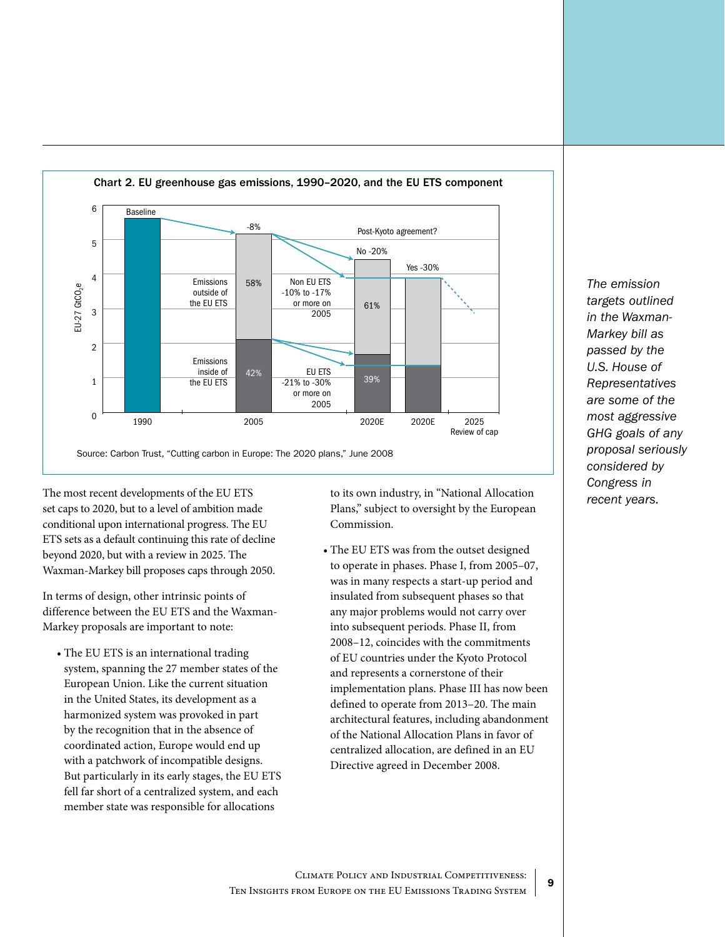

The most recent developments of the EU ETS to its own industry, in "National Allocation recent years. set caps to 2020, but to a level of ambition made conditional upon international progress. The EU ETS sets as a default continuing this rate of decline beyond 2020, but with a review in 2025. The Waxman-Markey bill proposes caps through 2050.

In terms of design, other intrinsic points of difference between the EU ETS and the Waxman-Markey proposals are important to note:

• The EU ETS is an international trading system, spanning the 27 member states of the European Union. Like the current situation in the United States, its development as a harmonized system was provoked in part by the recognition that in the absence of coordinated action, Europe would end up with a patchwork of incompatible designs. But particularly in its early stages, the EU ETS fell far short of a centralized system, and each member state was responsible for allocations

to its own industry, in "National Allocation Plans," subject to oversight by the European Commission.

• The EU ETS was from the outset designed to operate in phases. Phase I, from 2005–07, was in many respects a start-up period and insulated from subsequent phases so that any major problems would not carry over into subsequent periods. Phase II, from 2008–12, coincides with the commitments of EU countries under the Kyoto Protocol and represents a cornerstone of their implementation plans. Phase III has now been defined to operate from 2013–20. The main architectural features, including abandonment of the National Allocation Plans in favor of centralized allocation, are defined in an EU Directive agreed in December 2008.

*The emission targets outlined in the Waxman-Markey bill as passed by the U.S. House of Representatives are some of the most aggressive GHG goals of any proposal seriously considered by Congress in*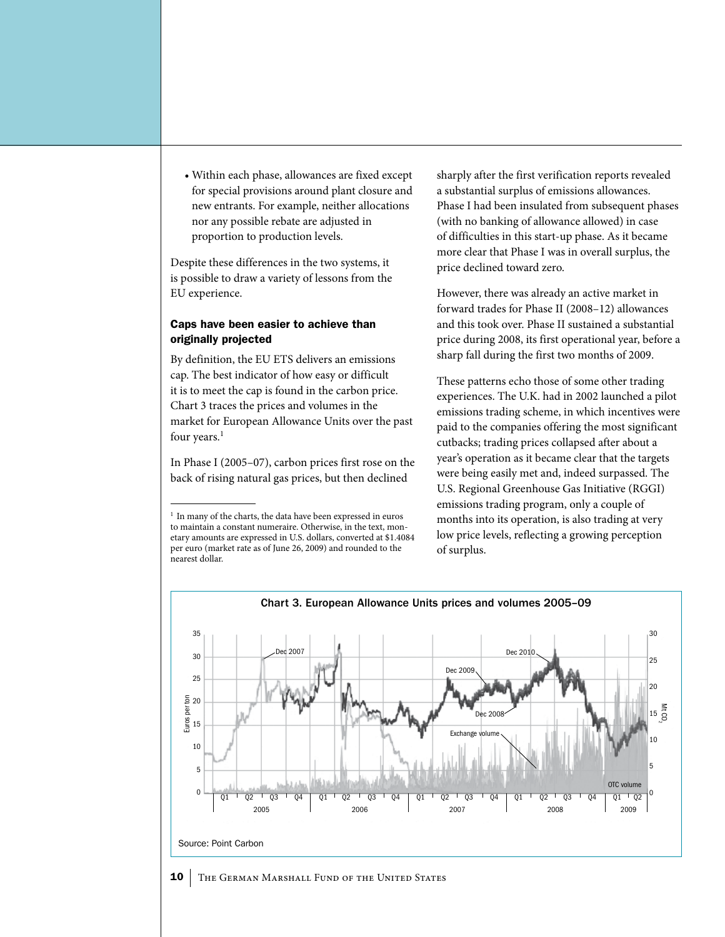• Within each phase, allowances are fixed except for special provisions around plant closure and new entrants. For example, neither allocations nor any possible rebate are adjusted in proportion to production levels.

Despite these differences in the two systems, it is possible to draw a variety of lessons from the EU experience.

#### Caps have been easier to achieve than originally projected

By definition, the EU ETS delivers an emissions cap. The best indicator of how easy or difficult it is to meet the cap is found in the carbon price. Chart 3 traces the prices and volumes in the market for European Allowance Units over the past four years.<sup>1</sup>

In Phase I (2005–07), carbon prices first rose on the back of rising natural gas prices, but then declined

sharply after the first verification reports revealed a substantial surplus of emissions allowances. Phase I had been insulated from subsequent phases (with no banking of allowance allowed) in case of difficulties in this start-up phase. As it became more clear that Phase I was in overall surplus, the price declined toward zero.

However, there was already an active market in forward trades for Phase II (2008–12) allowances and this took over. Phase II sustained a substantial price during 2008, its first operational year, before a sharp fall during the first two months of 2009.

These patterns echo those of some other trading experiences. The U.K. had in 2002 launched a pilot emissions trading scheme, in which incentives were paid to the companies offering the most significant cutbacks; trading prices collapsed after about a year's operation as it became clear that the targets were being easily met and, indeed surpassed. The U.S. Regional Greenhouse Gas Initiative (RGGI) emissions trading program, only a couple of months into its operation, is also trading at very low price levels, reflecting a growing perception of surplus.



#### 10 THE GERMAN MARSHALL FUND OF THE UNITED STATES

<sup>&</sup>lt;sup>1</sup> In many of the charts, the data have been expressed in euros to maintain a constant numeraire. Otherwise, in the text, monetary amounts are expressed in U.S. dollars, converted at \$1.4084 per euro (market rate as of June 26, 2009) and rounded to the nearest dollar.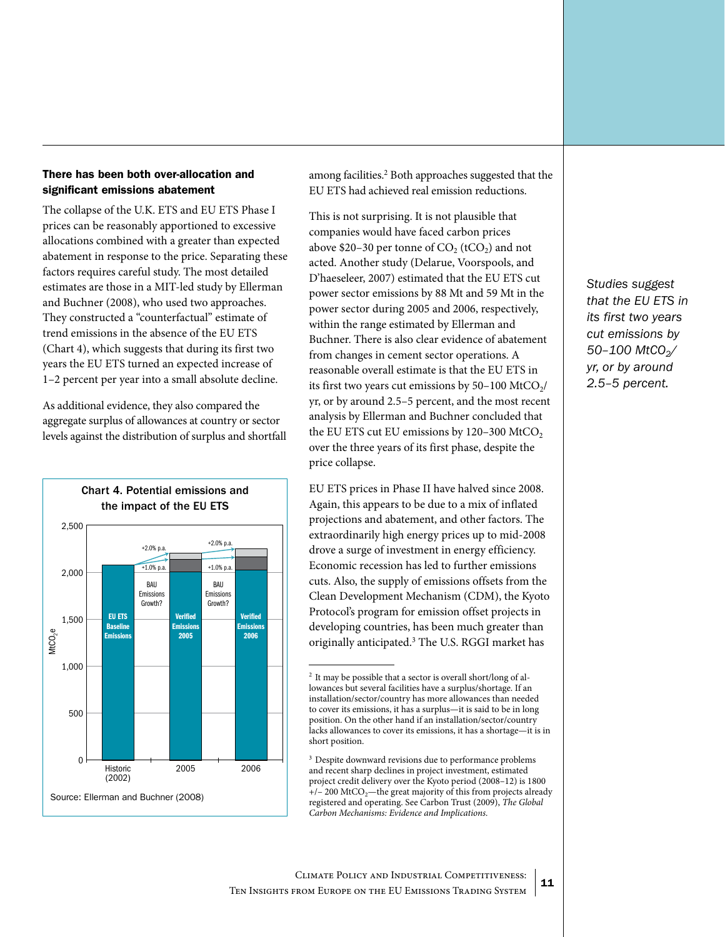#### There has been both over-allocation and significant emissions abatement

The collapse of the U.K. ETS and EU ETS Phase I prices can be reasonably apportioned to excessive allocations combined with a greater than expected abatement in response to the price. Separating these factors requires careful study. The most detailed estimates are those in a MIT-led study by Ellerman and Buchner (2008), who used two approaches. They constructed a "counterfactual" estimate of trend emissions in the absence of the EU ETS (Chart 4), which suggests that during its first two years the EU ETS turned an expected increase of 1–2 percent per year into a small absolute decline.

As additional evidence, they also compared the aggregate surplus of allowances at country or sector levels against the distribution of surplus and shortfall



among facilities.<sup>2</sup> Both approaches suggested that the EU ETS had achieved real emission reductions.

This is not surprising. It is not plausible that companies would have faced carbon prices above \$20–30 per tonne of  $CO<sub>2</sub>$  (tCO<sub>2</sub>) and not acted. Another study (Delarue, Voorspools, and D'haeseleer, 2007) estimated that the EU ETS cut power sector emissions by 88 Mt and 59 Mt in the power sector during 2005 and 2006, respectively, within the range estimated by Ellerman and Buchner. There is also clear evidence of abatement from changes in cement sector operations. A reasonable overall estimate is that the EU ETS in its first two years cut emissions by  $50-100$  MtCO<sub>2</sub>/ yr, or by around 2.5–5 percent, and the most recent analysis by Ellerman and Buchner concluded that the EU ETS cut EU emissions by  $120-300$  MtCO<sub>2</sub> over the three years of its first phase, despite the price collapse.

EU ETS prices in Phase II have halved since 2008. Again, this appears to be due to a mix of inflated projections and abatement, and other factors. The extraordinarily high energy prices up to mid-2008 drove a surge of investment in energy efficiency. Economic recession has led to further emissions cuts. Also, the supply of emissions offsets from the Clean Development Mechanism (CDM), the Kyoto Protocol's program for emission offset projects in developing countries, has been much greater than originally anticipated.<sup>3</sup> The U.S. RGGI market has

<sup>3</sup> Despite downward revisions due to performance problems and recent sharp declines in project investment, estimated project credit delivery over the Kyoto period (2008–12) is 1800  $+/- 200$  MtCO<sub>2</sub>—the great majority of this from projects already registered and operating. See Carbon Trust (2009), *The Global Carbon Mechanisms: Evidence and Implications.*

<sup>2</sup> It may be possible that a sector is overall short/long of allowances but several facilities have a surplus/shortage. If an installation/sector/country has more allowances than needed to cover its emissions, it has a surplus—it is said to be in long position. On the other hand if an installation/sector/country lacks allowances to cover its emissions, it has a shortage—it is in short position.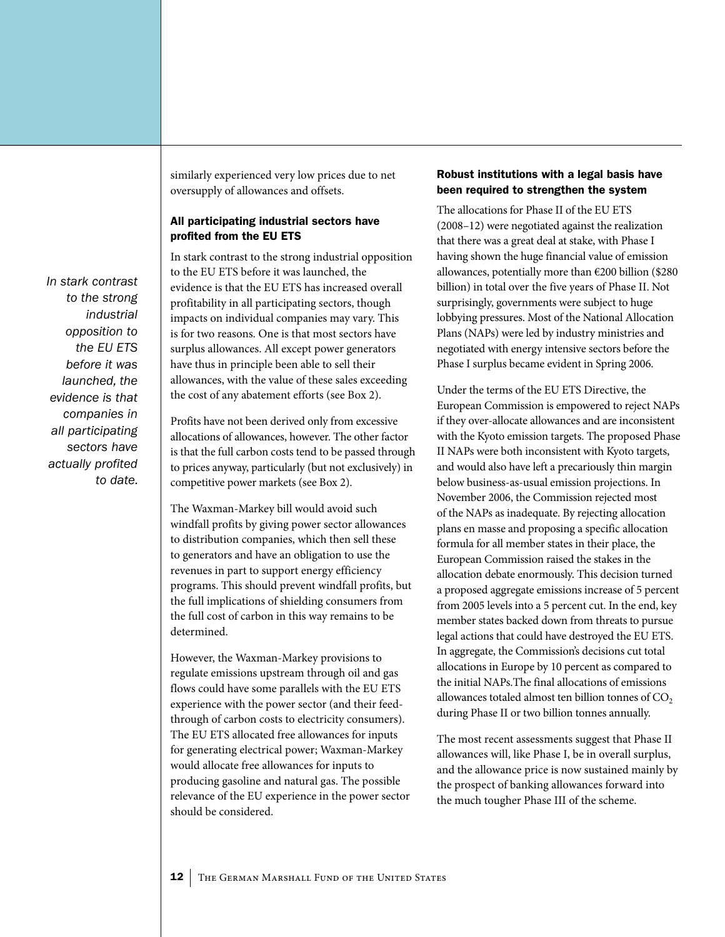*to the strong industrial opposition to the EU ETS before it was launched, the evidence is that companies in all participating sectors have actually profited to date.* 

*In stark contrast* 

similarly experienced very low prices due to net oversupply of allowances and offsets.

#### All participating industrial sectors have profited from the EU ETS

In stark contrast to the strong industrial opposition to the EU ETS before it was launched, the evidence is that the EU ETS has increased overall profitability in all participating sectors, though impacts on individual companies may vary. This is for two reasons. One is that most sectors have surplus allowances. All except power generators have thus in principle been able to sell their allowances, with the value of these sales exceeding the cost of any abatement efforts (see Box 2).

Profits have not been derived only from excessive allocations of allowances, however. The other factor is that the full carbon costs tend to be passed through to prices anyway, particularly (but not exclusively) in competitive power markets (see Box 2).

The Waxman-Markey bill would avoid such windfall profits by giving power sector allowances to distribution companies, which then sell these to generators and have an obligation to use the revenues in part to support energy efficiency programs. This should prevent windfall profits, but the full implications of shielding consumers from the full cost of carbon in this way remains to be determined.

However, the Waxman-Markey provisions to regulate emissions upstream through oil and gas flows could have some parallels with the EU ETS experience with the power sector (and their feedthrough of carbon costs to electricity consumers). The EU ETS allocated free allowances for inputs for generating electrical power; Waxman-Markey would allocate free allowances for inputs to producing gasoline and natural gas. The possible relevance of the EU experience in the power sector should be considered.

#### Robust institutions with a legal basis have been required to strengthen the system

The allocations for Phase II of the EU ETS (2008–12) were negotiated against the realization that there was a great deal at stake, with Phase I having shown the huge financial value of emission allowances, potentially more than €200 billion (\$280 billion) in total over the five years of Phase II. Not surprisingly, governments were subject to huge lobbying pressures. Most of the National Allocation Plans (NAPs) were led by industry ministries and negotiated with energy intensive sectors before the Phase I surplus became evident in Spring 2006.

Under the terms of the EU ETS Directive, the European Commission is empowered to reject NAPs if they over-allocate allowances and are inconsistent with the Kyoto emission targets. The proposed Phase II NAPs were both inconsistent with Kyoto targets, and would also have left a precariously thin margin below business-as-usual emission projections. In November 2006, the Commission rejected most of the NAPs as inadequate. By rejecting allocation plans en masse and proposing a specific allocation formula for all member states in their place, the European Commission raised the stakes in the allocation debate enormously. This decision turned a proposed aggregate emissions increase of 5 percent from 2005 levels into a 5 percent cut. In the end, key member states backed down from threats to pursue legal actions that could have destroyed the EU ETS. In aggregate, the Commission's decisions cut total allocations in Europe by 10 percent as compared to the initial NAPs.The final allocations of emissions allowances totaled almost ten billion tonnes of  $CO<sub>2</sub>$ during Phase II or two billion tonnes annually.

The most recent assessments suggest that Phase II allowances will, like Phase I, be in overall surplus, and the allowance price is now sustained mainly by the prospect of banking allowances forward into the much tougher Phase III of the scheme.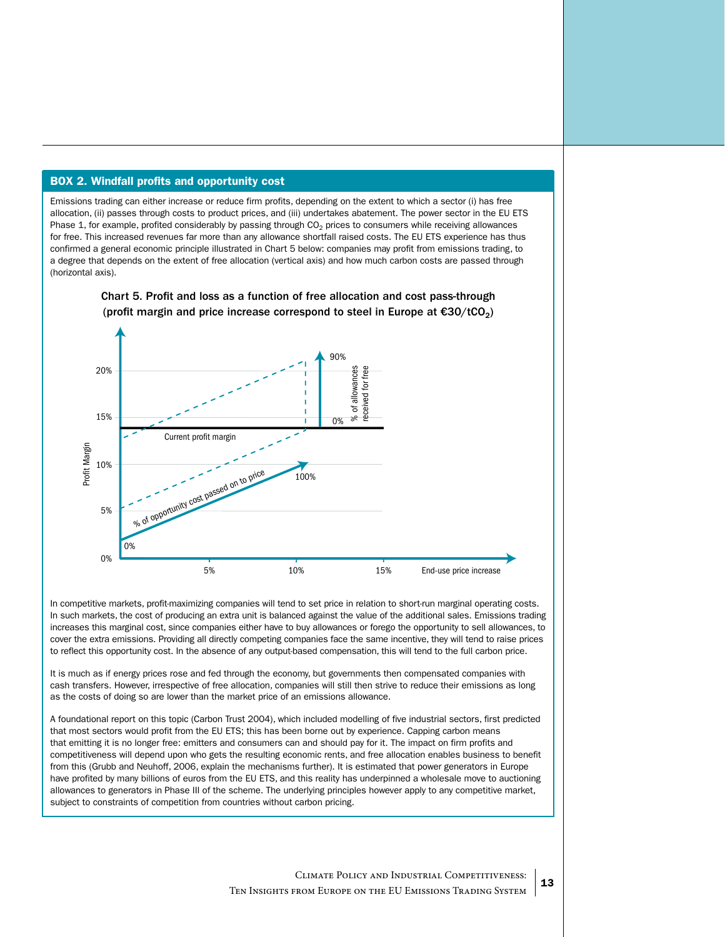#### BOX 2. Windfall profits and opportunity cost

Emissions trading can either increase or reduce firm profits, depending on the extent to which a sector (i) has free allocation, (ii) passes through costs to product prices, and (iii) undertakes abatement. The power sector in the EU ETS Phase 1, for example, profited considerably by passing through  $CO<sub>2</sub>$  prices to consumers while receiving allowances for free. This increased revenues far more than any allowance shortfall raised costs. The EU ETS experience has thus confirmed a general economic principle illustrated in Chart 5 below: companies may profit from emissions trading, to a degree that depends on the extent of free allocation (vertical axis) and how much carbon costs are passed through (horizontal axis).



Chart 5. Profit and loss as a function of free allocation and cost pass-through (profit margin and price increase correspond to steel in Europe at  $\epsilon$ 30/tCO<sub>2</sub>)

In competitive markets, profit-maximizing companies will tend to set price in relation to short-run marginal operating costs. In such markets, the cost of producing an extra unit is balanced against the value of the additional sales. Emissions trading increases this marginal cost, since companies either have to buy allowances or forego the opportunity to sell allowances, to cover the extra emissions. Providing all directly competing companies face the same incentive, they will tend to raise prices to reflect this opportunity cost. In the absence of any output-based compensation, this will tend to the full carbon price.

It is much as if energy prices rose and fed through the economy, but governments then compensated companies with cash transfers. However, irrespective of free allocation, companies will still then strive to reduce their emissions as long as the costs of doing so are lower than the market price of an emissions allowance.

A foundational report on this topic (Carbon Trust 2004), which included modelling of five industrial sectors, first predicted that most sectors would profit from the EU ETS; this has been borne out by experience. Capping carbon means that emitting it is no longer free: emitters and consumers can and should pay for it. The impact on firm profits and competitiveness will depend upon who gets the resulting economic rents, and free allocation enables business to benefit from this (Grubb and Neuhoff, 2006, explain the mechanisms further). It is estimated that power generators in Europe have profited by many billions of euros from the EU ETS, and this reality has underpinned a wholesale move to auctioning allowances to generators in Phase III of the scheme. The underlying principles however apply to any competitive market,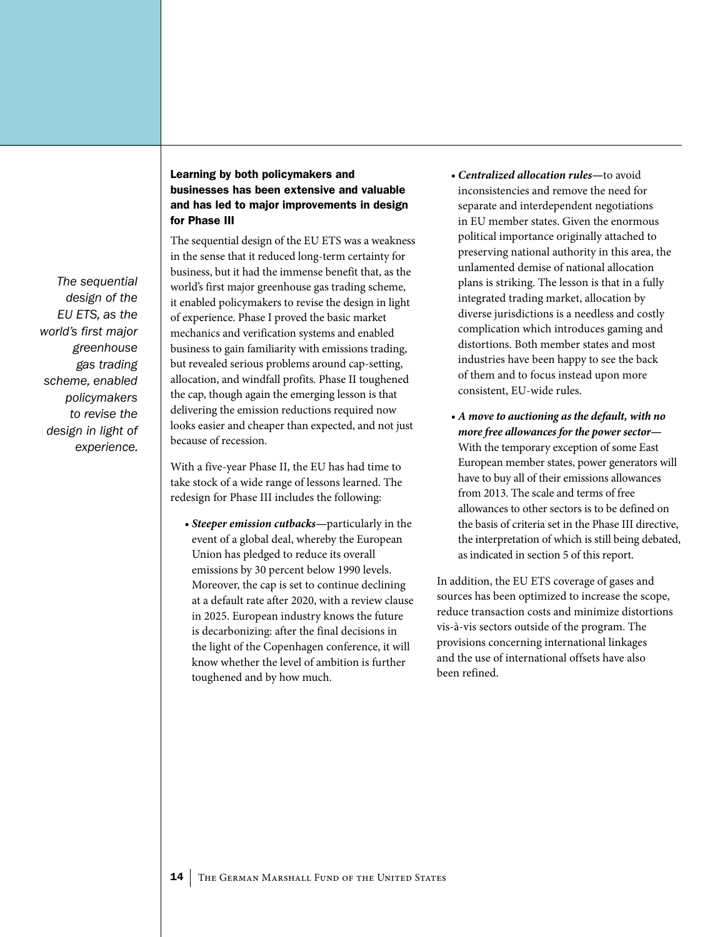*The sequential design of the EU ETS, as the world's first major greenhouse gas trading scheme, enabled policymakers to revise the design in light of experience.*

#### Learning by both policymakers and businesses has been extensive and valuable and has led to major improvements in design for Phase III

The sequential design of the EU ETS was a weakness in the sense that it reduced long-term certainty for business, but it had the immense benefit that, as the world's first major greenhouse gas trading scheme, it enabled policymakers to revise the design in light of experience. Phase I proved the basic market mechanics and verification systems and enabled business to gain familiarity with emissions trading, but revealed serious problems around cap-setting, allocation, and windfall profits. Phase II toughened the cap, though again the emerging lesson is that delivering the emission reductions required now looks easier and cheaper than expected, and not just because of recession.

With a five-year Phase II, the EU has had time to take stock of a wide range of lessons learned. The redesign for Phase III includes the following:

*• Steeper emission cutbacks—*particularly in the event of a global deal, whereby the European Union has pledged to reduce its overall emissions by 30 percent below 1990 levels. Moreover, the cap is set to continue declining at a default rate after 2020, with a review clause in 2025. European industry knows the future is decarbonizing: after the final decisions in the light of the Copenhagen conference, it will know whether the level of ambition is further toughened and by how much.

- *• Centralized allocation rules—*to avoid inconsistencies and remove the need for separate and interdependent negotiations in EU member states. Given the enormous political importance originally attached to preserving national authority in this area, the unlamented demise of national allocation plans is striking. The lesson is that in a fully integrated trading market, allocation by diverse jurisdictions is a needless and costly complication which introduces gaming and distortions. Both member states and most industries have been happy to see the back of them and to focus instead upon more consistent, EU-wide rules.
- *• A move to auctioning as the default, with no more free allowances for the power sector—* With the temporary exception of some East European member states, power generators will have to buy all of their emissions allowances from 2013. The scale and terms of free allowances to other sectors is to be defined on the basis of criteria set in the Phase III directive, the interpretation of which is still being debated, as indicated in section 5 of this report.

In addition, the EU ETS coverage of gases and sources has been optimized to increase the scope, reduce transaction costs and minimize distortions vis-à-vis sectors outside of the program. The provisions concerning international linkages and the use of international offsets have also been refined.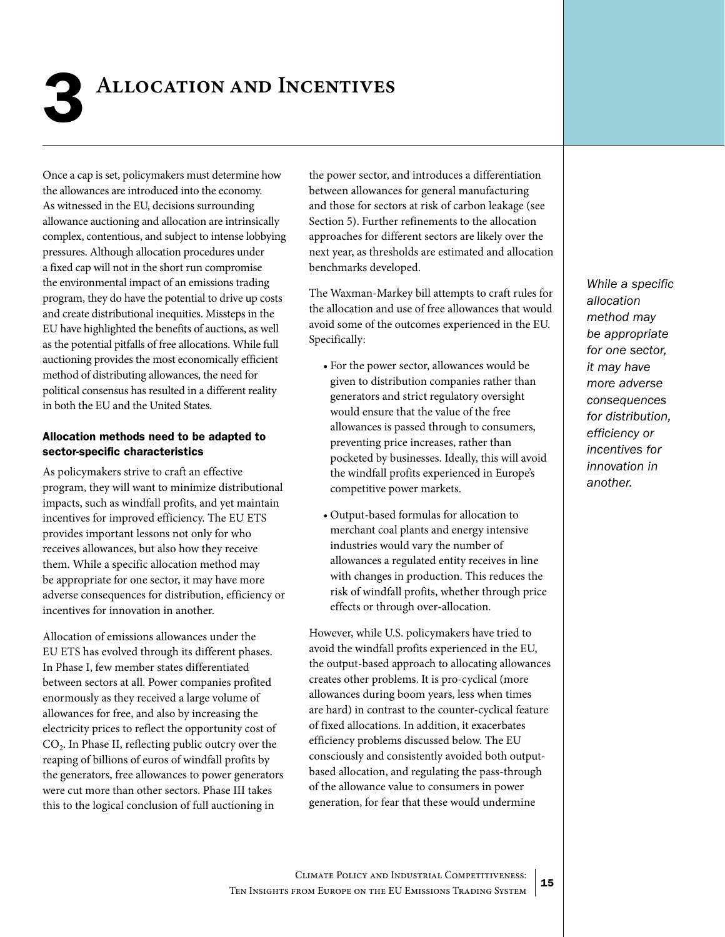<span id="page-14-0"></span>

## **ALLOCATION AND INCENTIVES**

Once a cap is set, policymakers must determine how the allowances are introduced into the economy. As witnessed in the EU, decisions surrounding allowance auctioning and allocation are intrinsically complex, contentious, and subject to intense lobbying pressures. Although allocation procedures under a fixed cap will not in the short run compromise the environmental impact of an emissions trading program, they do have the potential to drive up costs and create distributional inequities. Missteps in the EU have highlighted the benefits of auctions, as well as the potential pitfalls of free allocations. While full auctioning provides the most economically efficient method of distributing allowances, the need for political consensus has resulted in a different reality in both the EU and the United States.

#### Allocation methods need to be adapted to sector-specific characteristics

As policymakers strive to craft an effective program, they will want to minimize distributional impacts, such as windfall profits, and yet maintain incentives for improved efficiency. The EU ETS provides important lessons not only for who receives allowances, but also how they receive them. While a specific allocation method may be appropriate for one sector, it may have more adverse consequences for distribution, efficiency or incentives for innovation in another.

Allocation of emissions allowances under the EU ETS has evolved through its different phases. In Phase I, few member states differentiated between sectors at all. Power companies profited enormously as they received a large volume of allowances for free, and also by increasing the electricity prices to reflect the opportunity cost of CO<sub>2</sub>. In Phase II, reflecting public outcry over the reaping of billions of euros of windfall profits by the generators, free allowances to power generators were cut more than other sectors. Phase III takes this to the logical conclusion of full auctioning in

the power sector, and introduces a differentiation between allowances for general manufacturing and those for sectors at risk of carbon leakage (see Section 5). Further refinements to the allocation approaches for different sectors are likely over the next year, as thresholds are estimated and allocation benchmarks developed.

The Waxman-Markey bill attempts to craft rules for the allocation and use of free allowances that would avoid some of the outcomes experienced in the EU. Specifically:

- • For the power sector, allowances would be given to distribution companies rather than generators and strict regulatory oversight would ensure that the value of the free allowances is passed through to consumers, preventing price increases, rather than pocketed by businesses. Ideally, this will avoid the windfall profits experienced in Europe's competitive power markets.
- • Output-based formulas for allocation to merchant coal plants and energy intensive industries would vary the number of allowances a regulated entity receives in line with changes in production. This reduces the risk of windfall profits, whether through price effects or through over-allocation.

However, while U.S. policymakers have tried to avoid the windfall profits experienced in the EU, the output-based approach to allocating allowances creates other problems. It is pro-cyclical (more allowances during boom years, less when times are hard) in contrast to the counter-cyclical feature of fixed allocations. In addition, it exacerbates efficiency problems discussed below. The EU consciously and consistently avoided both outputbased allocation, and regulating the pass-through of the allowance value to consumers in power generation, for fear that these would undermine

*While a specific allocation method may be appropriate for one sector, it may have more adverse consequences for distribution, efficiency or incentives for innovation in another.*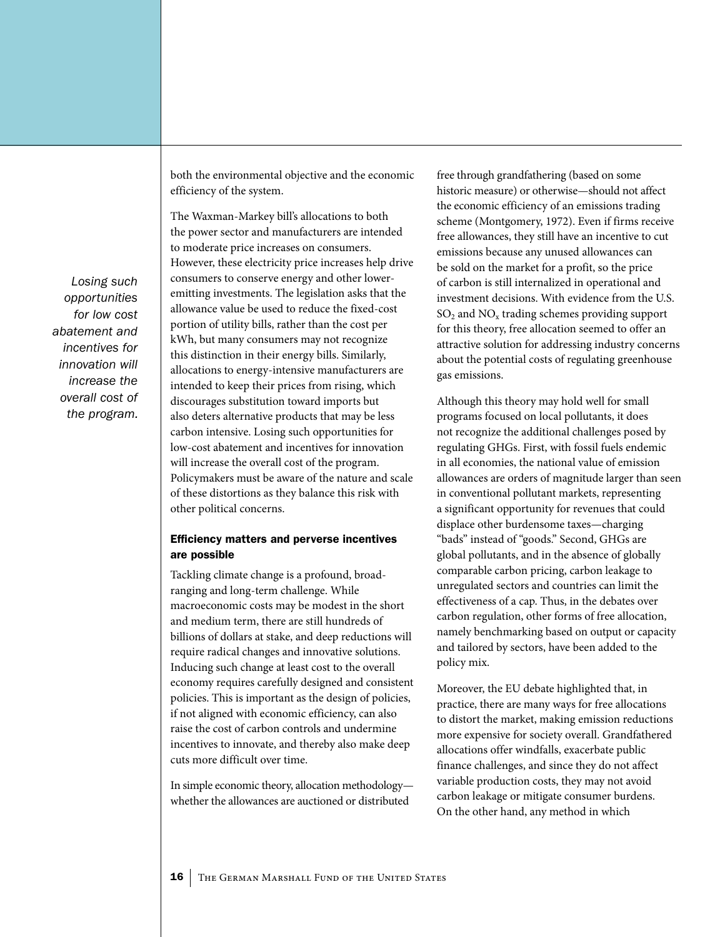both the environmental objective and the economic efficiency of the system.

The Waxman-Markey bill's allocations to both the power sector and manufacturers are intended to moderate price increases on consumers. However, these electricity price increases help drive consumers to conserve energy and other loweremitting investments. The legislation asks that the allowance value be used to reduce the fixed-cost portion of utility bills, rather than the cost per kWh, but many consumers may not recognize this distinction in their energy bills. Similarly, allocations to energy-intensive manufacturers are intended to keep their prices from rising, which discourages substitution toward imports but also deters alternative products that may be less carbon intensive. Losing such opportunities for low-cost abatement and incentives for innovation will increase the overall cost of the program. Policymakers must be aware of the nature and scale of these distortions as they balance this risk with other political concerns.

#### Efficiency matters and perverse incentives are possible

Tackling climate change is a profound, broadranging and long-term challenge. While macroeconomic costs may be modest in the short and medium term, there are still hundreds of billions of dollars at stake, and deep reductions will require radical changes and innovative solutions. Inducing such change at least cost to the overall economy requires carefully designed and consistent policies. This is important as the design of policies, if not aligned with economic efficiency, can also raise the cost of carbon controls and undermine incentives to innovate, and thereby also make deep cuts more difficult over time.

In simple economic theory, allocation methodology whether the allowances are auctioned or distributed

free through grandfathering (based on some historic measure) or otherwise—should not affect the economic efficiency of an emissions trading scheme (Montgomery, 1972). Even if firms receive free allowances, they still have an incentive to cut emissions because any unused allowances can be sold on the market for a profit, so the price of carbon is still internalized in operational and investment decisions. With evidence from the U.S.  $SO<sub>2</sub>$  and  $NO<sub>x</sub>$  trading schemes providing support for this theory, free allocation seemed to offer an attractive solution for addressing industry concerns about the potential costs of regulating greenhouse gas emissions.

Although this theory may hold well for small programs focused on local pollutants, it does not recognize the additional challenges posed by regulating GHGs. First, with fossil fuels endemic in all economies, the national value of emission allowances are orders of magnitude larger than seen in conventional pollutant markets, representing a significant opportunity for revenues that could displace other burdensome taxes—charging "bads" instead of "goods." Second, GHGs are global pollutants, and in the absence of globally comparable carbon pricing, carbon leakage to unregulated sectors and countries can limit the effectiveness of a cap. Thus, in the debates over carbon regulation, other forms of free allocation, namely benchmarking based on output or capacity and tailored by sectors, have been added to the policy mix.

Moreover, the EU debate highlighted that, in practice, there are many ways for free allocations to distort the market, making emission reductions more expensive for society overall. Grandfathered allocations offer windfalls, exacerbate public finance challenges, and since they do not affect variable production costs, they may not avoid carbon leakage or mitigate consumer burdens. On the other hand, any method in which

*Losing such opportunities for low cost abatement and incentives for innovation will increase the overall cost of the program.*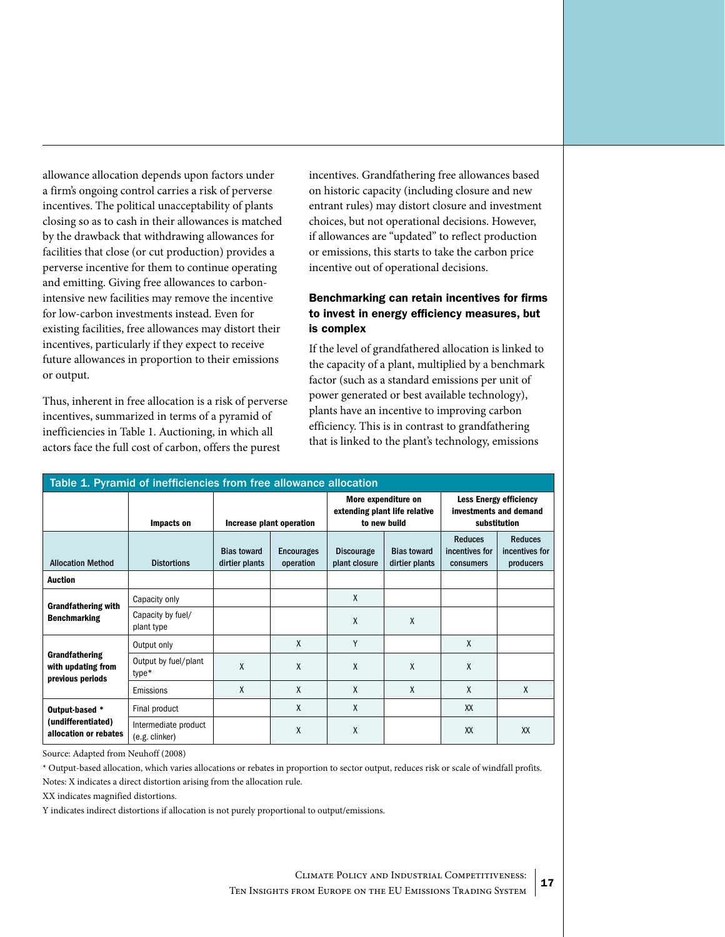Ten Insights from Europe on the EU Emissions Trading System

Source: Adapted from Neuhoff (2008)

\* Output-based allocation, which varies allocations or rebates in proportion to sector output, reduces risk or scale of windfall profits. Notes: X indicates a direct distortion arising from the allocation rule.

XX indicates magnified distortions.

Y indicates indirect distortions if allocation is not purely proportional to output/emissions.

allowance allocation depends upon factors under a firm's ongoing control carries a risk of perverse incentives. The political unacceptability of plants closing so as to cash in their allowances is matched by the drawback that withdrawing allowances for facilities that close (or cut production) provides a perverse incentive for them to continue operating and emitting. Giving free allowances to carbonintensive new facilities may remove the incentive for low-carbon investments instead. Even for existing facilities, free allowances may distort their incentives, particularly if they expect to receive future allowances in proportion to their emissions or output.

Thus, inherent in free allocation is a risk of perverse incentives, summarized in terms of a pyramid of inefficiencies in Table 1. Auctioning, in which all actors face the full cost of carbon, offers the purest

incentives. Grandfathering free allowances based on historic capacity (including closure and new entrant rules) may distort closure and investment choices, but not operational decisions. However, if allowances are "updated" to reflect production or emissions, this starts to take the carbon price incentive out of operational decisions.

#### Benchmarking can retain incentives for firms to invest in energy efficiency measures, but is complex

If the level of grandfathered allocation is linked to the capacity of a plant, multiplied by a benchmark factor (such as a standard emissions per unit of power generated or best available technology), plants have an incentive to improving carbon efficiency. This is in contrast to grandfathering that is linked to the plant's technology, emissions

| Table 1. Pyramid of inefficiencies from free allowance allocation |                                        |                                      |                                |                                                                      |                                      |                                                                         |                                               |  |  |  |  |
|-------------------------------------------------------------------|----------------------------------------|--------------------------------------|--------------------------------|----------------------------------------------------------------------|--------------------------------------|-------------------------------------------------------------------------|-----------------------------------------------|--|--|--|--|
|                                                                   | Impacts on                             | Increase plant operation             |                                | More expenditure on<br>extending plant life relative<br>to new build |                                      | <b>Less Energy efficiency</b><br>investments and demand<br>substitution |                                               |  |  |  |  |
| <b>Allocation Method</b>                                          | <b>Distortions</b>                     | <b>Bias toward</b><br>dirtier plants | <b>Encourages</b><br>operation | <b>Discourage</b><br>plant closure                                   | <b>Bias toward</b><br>dirtier plants | <b>Reduces</b><br>incentives for<br>consumers                           | <b>Reduces</b><br>incentives for<br>producers |  |  |  |  |
| <b>Auction</b>                                                    |                                        |                                      |                                |                                                                      |                                      |                                                                         |                                               |  |  |  |  |
| <b>Grandfathering with</b><br><b>Benchmarking</b>                 | Capacity only                          |                                      |                                | X                                                                    |                                      |                                                                         |                                               |  |  |  |  |
|                                                                   | Capacity by fuel/<br>plant type        |                                      |                                | $\mathsf{X}$                                                         | X                                    |                                                                         |                                               |  |  |  |  |
| Grandfathering<br>with updating from<br>previous periods          | Output only                            |                                      | X                              | Y                                                                    |                                      | X                                                                       |                                               |  |  |  |  |
|                                                                   | Output by fuel/plant<br>type*          | X                                    | X                              | X                                                                    | X                                    | X                                                                       |                                               |  |  |  |  |
|                                                                   | Emissions                              | X                                    | X                              | X                                                                    | X                                    | X                                                                       | X                                             |  |  |  |  |
| Output-based *<br>(undifferentiated)<br>allocation or rebates     | Final product                          |                                      | X                              | X                                                                    |                                      | XX                                                                      |                                               |  |  |  |  |
|                                                                   | Intermediate product<br>(e.g. clinker) |                                      | X                              | X                                                                    |                                      | XX                                                                      | XX                                            |  |  |  |  |

#### Climate Policy and Industrial Competitiveness: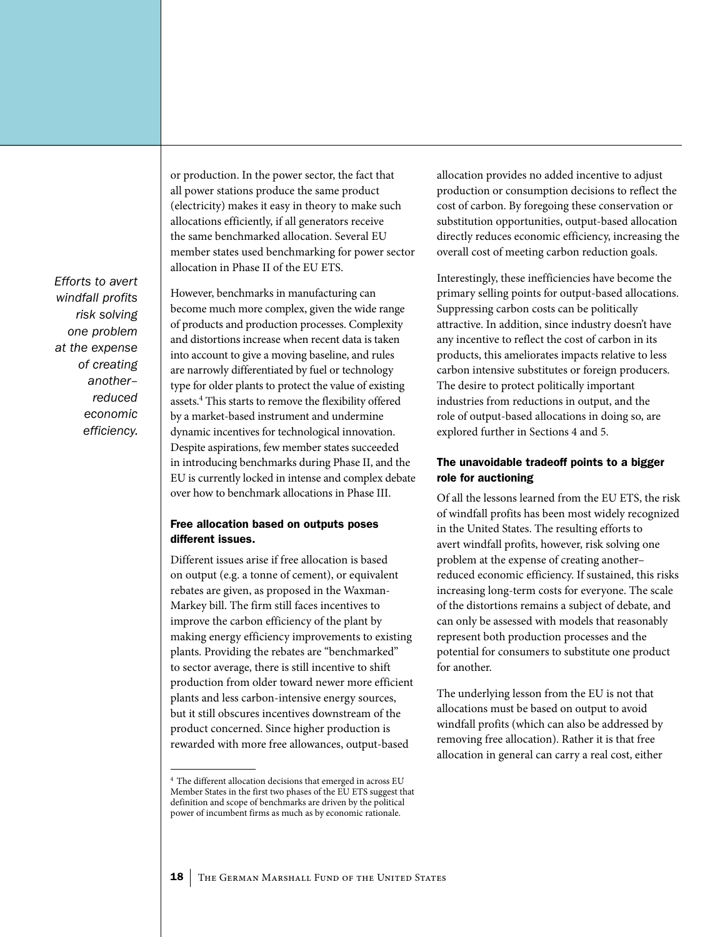*Efforts to avert windfall profits risk solving one problem at the expense of creating another– reduced economic efficiency.* 

or production. In the power sector, the fact that all power stations produce the same product (electricity) makes it easy in theory to make such allocations efficiently, if all generators receive the same benchmarked allocation. Several EU member states used benchmarking for power sector allocation in Phase II of the EU ETS.

However, benchmarks in manufacturing can become much more complex, given the wide range of products and production processes. Complexity and distortions increase when recent data is taken into account to give a moving baseline, and rules are narrowly differentiated by fuel or technology type for older plants to protect the value of existing assets.<sup>4</sup> This starts to remove the flexibility offered by a market-based instrument and undermine dynamic incentives for technological innovation. Despite aspirations, few member states succeeded in introducing benchmarks during Phase II, and the EU is currently locked in intense and complex debate over how to benchmark allocations in Phase III.

#### Free allocation based on outputs poses different issues.

Different issues arise if free allocation is based on output (e.g. a tonne of cement), or equivalent rebates are given, as proposed in the Waxman-Markey bill. The firm still faces incentives to improve the carbon efficiency of the plant by making energy efficiency improvements to existing plants. Providing the rebates are "benchmarked" to sector average, there is still incentive to shift production from older toward newer more efficient plants and less carbon-intensive energy sources, but it still obscures incentives downstream of the product concerned. Since higher production is rewarded with more free allowances, output-based

allocation provides no added incentive to adjust production or consumption decisions to reflect the cost of carbon. By foregoing these conservation or substitution opportunities, output-based allocation directly reduces economic efficiency, increasing the overall cost of meeting carbon reduction goals.

Interestingly, these inefficiencies have become the primary selling points for output-based allocations. Suppressing carbon costs can be politically attractive. In addition, since industry doesn't have any incentive to reflect the cost of carbon in its products, this ameliorates impacts relative to less carbon intensive substitutes or foreign producers. The desire to protect politically important industries from reductions in output, and the role of output-based allocations in doing so, are explored further in Sections 4 and 5.

#### The unavoidable tradeoff points to a bigger role for auctioning

Of all the lessons learned from the EU ETS, the risk of windfall profits has been most widely recognized in the United States. The resulting efforts to avert windfall profits, however, risk solving one problem at the expense of creating another– reduced economic efficiency. If sustained, this risks increasing long-term costs for everyone. The scale of the distortions remains a subject of debate, and can only be assessed with models that reasonably represent both production processes and the potential for consumers to substitute one product for another.

The underlying lesson from the EU is not that allocations must be based on output to avoid windfall profits (which can also be addressed by removing free allocation). Rather it is that free allocation in general can carry a real cost, either

<sup>4</sup> The different allocation decisions that emerged in across EU Member States in the first two phases of the EU ETS suggest that definition and scope of benchmarks are driven by the political power of incumbent firms as much as by economic rationale.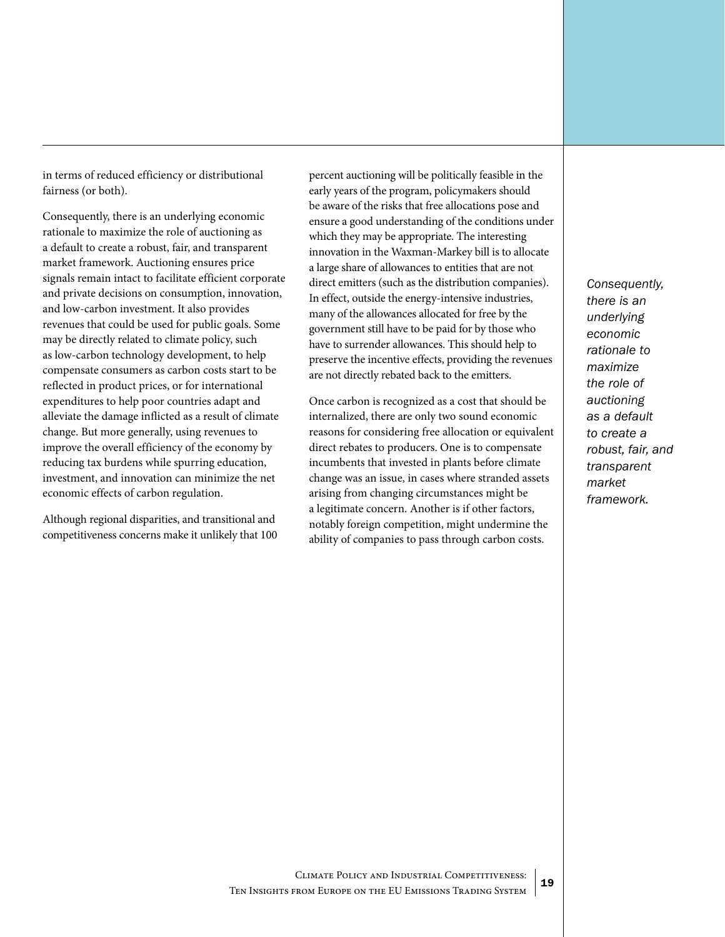in terms of reduced efficiency or distributional fairness (or both).

Consequently, there is an underlying economic rationale to maximize the role of auctioning as a default to create a robust, fair, and transparent market framework. Auctioning ensures price signals remain intact to facilitate efficient corporate and private decisions on consumption, innovation, and low-carbon investment. It also provides revenues that could be used for public goals. Some may be directly related to climate policy, such as low-carbon technology development, to help compensate consumers as carbon costs start to be reflected in product prices, or for international expenditures to help poor countries adapt and alleviate the damage inflicted as a result of climate change. But more generally, using revenues to improve the overall efficiency of the economy by reducing tax burdens while spurring education, investment, and innovation can minimize the net economic effects of carbon regulation.

Although regional disparities, and transitional and competitiveness concerns make it unlikely that 100 percent auctioning will be politically feasible in the early years of the program, policymakers should be aware of the risks that free allocations pose and ensure a good understanding of the conditions under which they may be appropriate. The interesting innovation in the Waxman-Markey bill is to allocate a large share of allowances to entities that are not direct emitters (such as the distribution companies). In effect, outside the energy-intensive industries, many of the allowances allocated for free by the government still have to be paid for by those who have to surrender allowances. This should help to preserve the incentive effects, providing the revenues are not directly rebated back to the emitters.

Once carbon is recognized as a cost that should be internalized, there are only two sound economic reasons for considering free allocation or equivalent direct rebates to producers. One is to compensate incumbents that invested in plants before climate change was an issue, in cases where stranded assets arising from changing circumstances might be a legitimate concern. Another is if other factors, notably foreign competition, might undermine the ability of companies to pass through carbon costs.

*Consequently, there is an underlying economic rationale to maximize the role of auctioning as a default to create a robust, fair, and transparent market framework.*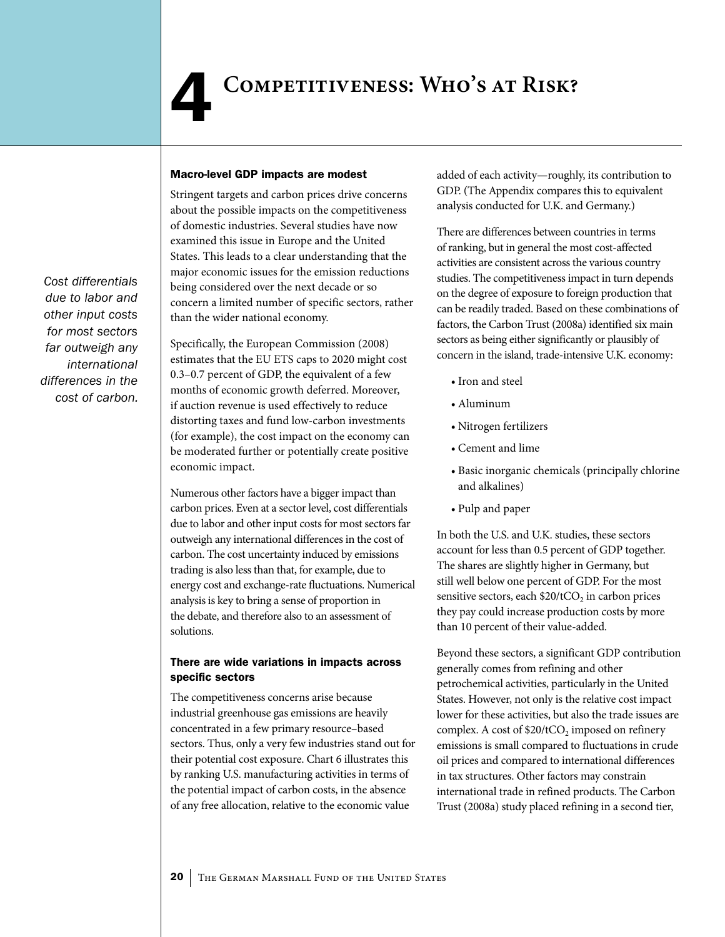#### <span id="page-19-0"></span>Macro-level GDP impacts are modest

Stringent targets and carbon prices drive concerns about the possible impacts on the competitiveness of domestic industries. Several studies have now examined this issue in Europe and the United States. This leads to a clear understanding that the major economic issues for the emission reductions being considered over the next decade or so concern a limited number of specific sectors, rather than the wider national economy.

Specifically, the European Commission (2008) estimates that the EU ETS caps to 2020 might cost 0.3–0.7 percent of GDP, the equivalent of a few months of economic growth deferred. Moreover, if auction revenue is used effectively to reduce distorting taxes and fund low-carbon investments (for example), the cost impact on the economy can be moderated further or potentially create positive economic impact.

Numerous other factors have a bigger impact than carbon prices. Even at a sector level, cost differentials due to labor and other input costs for most sectors far outweigh any international differences in the cost of carbon. The cost uncertainty induced by emissions trading is also less than that, for example, due to energy cost and exchange-rate fluctuations. Numerical analysis is key to bring a sense of proportion in the debate, and therefore also to an assessment of solutions.

#### There are wide variations in impacts across specific sectors

The competitiveness concerns arise because industrial greenhouse gas emissions are heavily concentrated in a few primary resource–based sectors. Thus, only a very few industries stand out for their potential cost exposure. Chart 6 illustrates this by ranking U.S. manufacturing activities in terms of the potential impact of carbon costs, in the absence of any free allocation, relative to the economic value

added of each activity—roughly, its contribution to GDP. (The Appendix compares this to equivalent analysis conducted for U.K. and Germany.)

There are differences between countries in terms of ranking, but in general the most cost-affected activities are consistent across the various country studies. The competitiveness impact in turn depends on the degree of exposure to foreign production that can be readily traded. Based on these combinations of factors, the Carbon Trust (2008a) identified six main sectors as being either significantly or plausibly of concern in the island, trade-intensive U.K. economy:

- Iron and steel
- • Aluminum
- • Nitrogen fertilizers
- • Cement and lime
- • Basic inorganic chemicals (principally chlorine and alkalines)
- • Pulp and paper

In both the U.S. and U.K. studies, these sectors account for less than 0.5 percent of GDP together. The shares are slightly higher in Germany, but still well below one percent of GDP. For the most sensitive sectors, each  $$20/tCO<sub>2</sub>$  in carbon prices they pay could increase production costs by more than 10 percent of their value-added.

Beyond these sectors, a significant GDP contribution generally comes from refining and other petrochemical activities, particularly in the United States. However, not only is the relative cost impact lower for these activities, but also the trade issues are complex. A cost of  $$20/tCO$ , imposed on refinery emissions is small compared to fluctuations in crude oil prices and compared to international differences in tax structures. Other factors may constrain international trade in refined products. The Carbon Trust (2008a) study placed refining in a second tier,

*Cost differentials due to labor and other input costs for most sectors far outweigh any international differences in the cost of carbon.*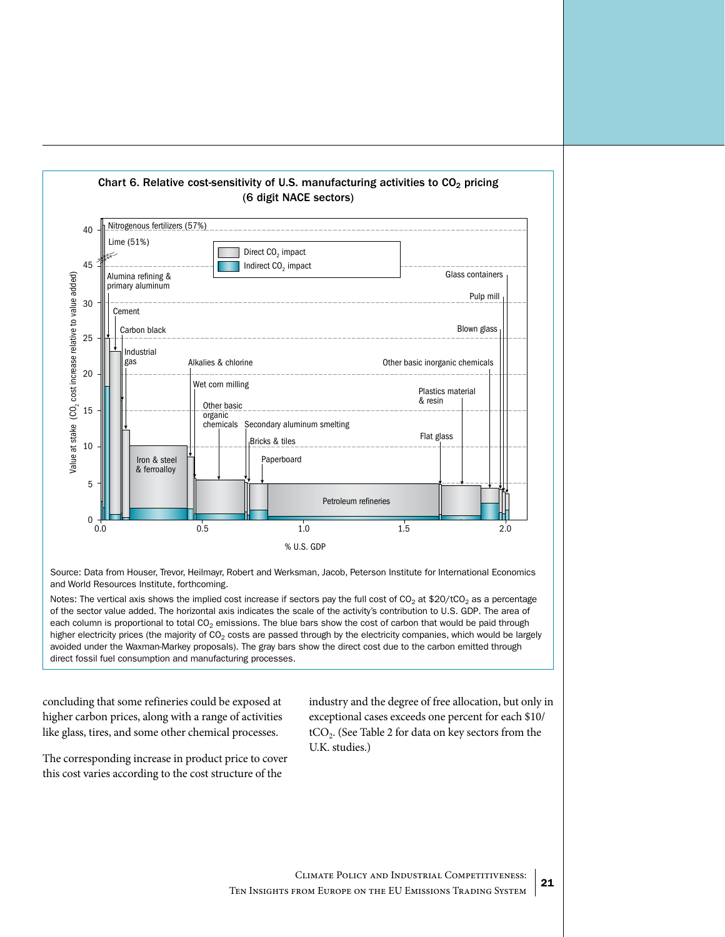

Source: Data from Houser, Trevor, Heilmayr, Robert and Werksman, Jacob, Peterson Institute for International Economics and World Resources Institute, forthcoming.

Notes: The vertical axis shows the implied cost increase if sectors pay the full cost of  $CO<sub>2</sub>$  at \$20/tCO<sub>2</sub> as a percentage of the sector value added. The horizontal axis indicates the scale of the activity's contribution to U.S. GDP. The area of each column is proportional to total  $CO<sub>2</sub>$  emissions. The blue bars show the cost of carbon that would be paid through higher electricity prices (the majority of  $CO<sub>2</sub>$  costs are passed through by the electricity companies, which would be largely avoided under the Waxman-Markey proposals). The gray bars show the direct cost due to the carbon emitted through direct fossil fuel consumption and manufacturing processes.

concluding that some refineries could be exposed at higher carbon prices, along with a range of activities like glass, tires, and some other chemical processes.

The corresponding increase in product price to cover this cost varies according to the cost structure of the

industry and the degree of free allocation, but only in exceptional cases exceeds one percent for each \$10/  $tCO<sub>2</sub>$ . (See Table 2 for data on key sectors from the U.K. studies.)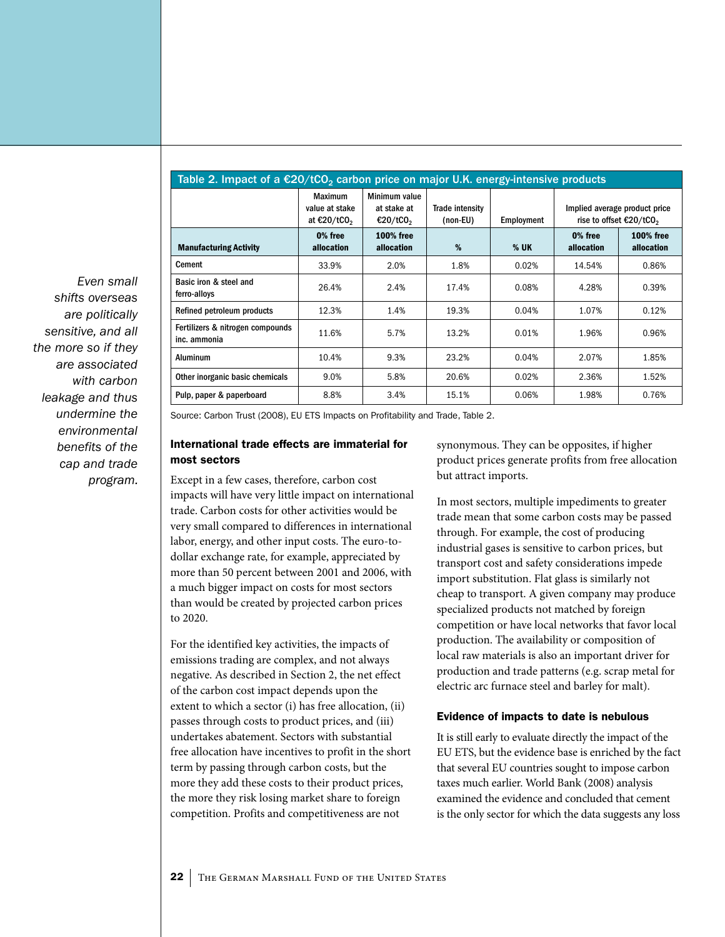| Table 2. Impact of a $\epsilon$ 20/tCO <sub>2</sub> carbon price on major U.K. energy-intensive products |                                                             |                                                      |                             |            |                                                                                |                                |  |  |  |  |  |
|----------------------------------------------------------------------------------------------------------|-------------------------------------------------------------|------------------------------------------------------|-----------------------------|------------|--------------------------------------------------------------------------------|--------------------------------|--|--|--|--|--|
|                                                                                                          | <b>Maximum</b><br>value at stake<br>at €20/tCO <sub>2</sub> | Minimum value<br>at stake at<br>€20/tCO <sub>2</sub> | Trade intensity<br>(non-EU) | Employment | Implied average product price<br>rise to offset $\epsilon$ 20/tCO <sub>2</sub> |                                |  |  |  |  |  |
| <b>Manufacturing Activity</b>                                                                            | 0% free<br>allocation                                       | <b>100% free</b><br>allocation                       | %                           | $%$ UK     | 0% free<br>allocation                                                          | <b>100% free</b><br>allocation |  |  |  |  |  |
| <b>Cement</b>                                                                                            | 33.9%                                                       | 2.0%                                                 | 1.8%                        | 0.02%      | 14.54%                                                                         | 0.86%                          |  |  |  |  |  |
| Basic iron & steel and<br>ferro-alloys                                                                   | 26.4%                                                       | 2.4%                                                 | 17.4%                       | 0.08%      | 4.28%                                                                          | 0.39%                          |  |  |  |  |  |
| Refined petroleum products                                                                               | 12.3%                                                       | 1.4%                                                 | 19.3%                       | 0.04%      | 1.07%                                                                          | 0.12%                          |  |  |  |  |  |
| Fertilizers & nitrogen compounds<br>inc. ammonia                                                         | 11.6%                                                       | 5.7%                                                 | 13.2%                       | 0.01%      | 1.96%                                                                          | 0.96%                          |  |  |  |  |  |
| <b>Aluminum</b>                                                                                          | 10.4%                                                       | 9.3%                                                 | 23.2%                       | 0.04%      | 2.07%                                                                          | 1.85%                          |  |  |  |  |  |
| Other inorganic basic chemicals                                                                          | 9.0%                                                        | 5.8%                                                 | 20.6%                       | 0.02%      | 2.36%                                                                          | 1.52%                          |  |  |  |  |  |
| Pulp, paper & paperboard                                                                                 | 8.8%                                                        | 3.4%                                                 | 15.1%                       | 0.06%      | 1.98%                                                                          | 0.76%                          |  |  |  |  |  |

*Even small shifts overseas are politically sensitive, and all the more so if they are associated with carbon leakage and thus undermine the environmental benefits of the cap and trade program.* 

Source: Carbon Trust (2008), EU ETS Impacts on Profitability and Trade, Table 2.

#### International trade effects are immaterial for most sectors

Except in a few cases, therefore, carbon cost impacts will have very little impact on international trade. Carbon costs for other activities would be very small compared to differences in international labor, energy, and other input costs. The euro-todollar exchange rate, for example, appreciated by more than 50 percent between 2001 and 2006, with a much bigger impact on costs for most sectors than would be created by projected carbon prices to 2020.

For the identified key activities, the impacts of emissions trading are complex, and not always negative. As described in Section 2, the net effect of the carbon cost impact depends upon the extent to which a sector (i) has free allocation, (ii) passes through costs to product prices, and (iii) undertakes abatement. Sectors with substantial free allocation have incentives to profit in the short term by passing through carbon costs, but the more they add these costs to their product prices, the more they risk losing market share to foreign competition. Profits and competitiveness are not

synonymous. They can be opposites, if higher product prices generate profits from free allocation but attract imports.

In most sectors, multiple impediments to greater trade mean that some carbon costs may be passed through. For example, the cost of producing industrial gases is sensitive to carbon prices, but transport cost and safety considerations impede import substitution. Flat glass is similarly not cheap to transport. A given company may produce specialized products not matched by foreign competition or have local networks that favor local production. The availability or composition of local raw materials is also an important driver for production and trade patterns (e.g. scrap metal for electric arc furnace steel and barley for malt).

#### Evidence of impacts to date is nebulous

It is still early to evaluate directly the impact of the EU ETS, but the evidence base is enriched by the fact that several EU countries sought to impose carbon taxes much earlier. World Bank (2008) analysis examined the evidence and concluded that cement is the only sector for which the data suggests any loss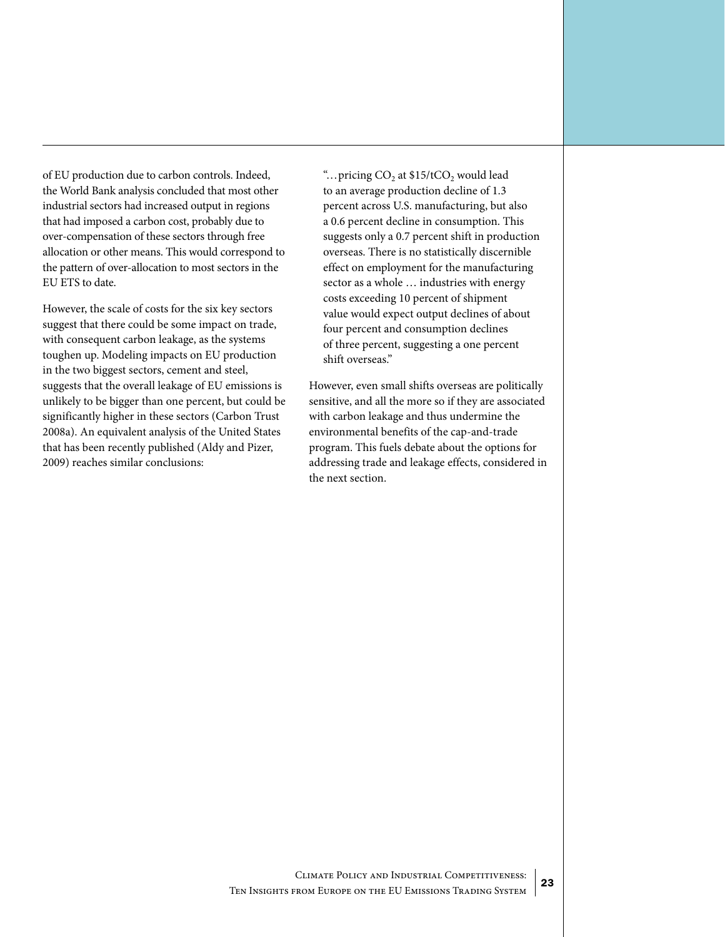of EU production due to carbon controls. Indeed, the World Bank analysis concluded that most other industrial sectors had increased output in regions that had imposed a carbon cost, probably due to over-compensation of these sectors through free allocation or other means. This would correspond to the pattern of over-allocation to most sectors in the EU ETS to date.

However, the scale of costs for the six key sectors suggest that there could be some impact on trade, with consequent carbon leakage, as the systems toughen up. Modeling impacts on EU production in the two biggest sectors, cement and steel, suggests that the overall leakage of EU emissions is unlikely to be bigger than one percent, but could be significantly higher in these sectors (Carbon Trust 2008a). An equivalent analysis of the United States that has been recently published (Aldy and Pizer, 2009) reaches similar conclusions:

"...pricing  $CO<sub>2</sub>$  at \$15/tCO<sub>2</sub> would lead to an average production decline of 1.3 percent across U.S. manufacturing, but also a 0.6 percent decline in consumption. This suggests only a 0.7 percent shift in production overseas. There is no statistically discernible effect on employment for the manufacturing sector as a whole … industries with energy costs exceeding 10 percent of shipment value would expect output declines of about four percent and consumption declines of three percent, suggesting a one percent shift overseas."

However, even small shifts overseas are politically sensitive, and all the more so if they are associated with carbon leakage and thus undermine the environmental benefits of the cap-and-trade program. This fuels debate about the options for addressing trade and leakage effects, considered in the next section.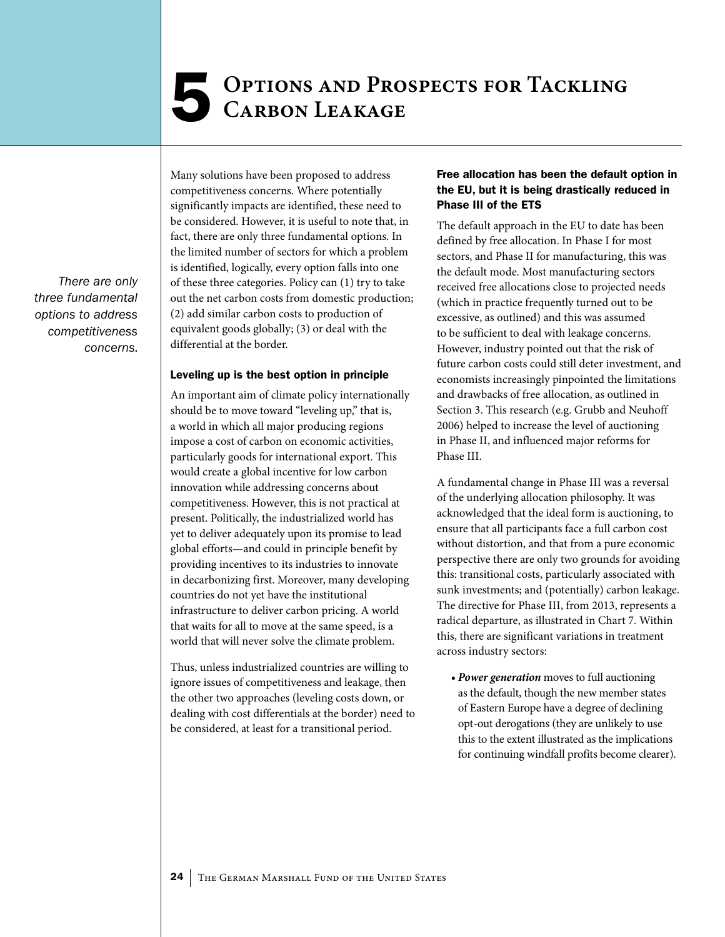## <span id="page-23-0"></span>**Options and Prospects for Tackling** 5 **Carbon Leakage**

*There are only three fundamental options to address competitiveness concerns.* Many solutions have been proposed to address competitiveness concerns. Where potentially significantly impacts are identified, these need to be considered. However, it is useful to note that, in fact, there are only three fundamental options. In the limited number of sectors for which a problem is identified, logically, every option falls into one of these three categories. Policy can (1) try to take out the net carbon costs from domestic production; (2) add similar carbon costs to production of equivalent goods globally; (3) or deal with the differential at the border.

#### Leveling up is the best option in principle

An important aim of climate policy internationally should be to move toward "leveling up," that is, a world in which all major producing regions impose a cost of carbon on economic activities, particularly goods for international export. This would create a global incentive for low carbon innovation while addressing concerns about competitiveness. However, this is not practical at present. Politically, the industrialized world has yet to deliver adequately upon its promise to lead global efforts—and could in principle benefit by providing incentives to its industries to innovate in decarbonizing first. Moreover, many developing countries do not yet have the institutional infrastructure to deliver carbon pricing. A world that waits for all to move at the same speed, is a world that will never solve the climate problem.

Thus, unless industrialized countries are willing to ignore issues of competitiveness and leakage, then the other two approaches (leveling costs down, or dealing with cost differentials at the border) need to be considered, at least for a transitional period.

#### Free allocation has been the default option in the EU, but it is being drastically reduced in Phase III of the ETS

The default approach in the EU to date has been defined by free allocation. In Phase I for most sectors, and Phase II for manufacturing, this was the default mode. Most manufacturing sectors received free allocations close to projected needs (which in practice frequently turned out to be excessive, as outlined) and this was assumed to be sufficient to deal with leakage concerns. However, industry pointed out that the risk of future carbon costs could still deter investment, and economists increasingly pinpointed the limitations and drawbacks of free allocation, as outlined in Section 3. This research (e.g. Grubb and Neuhoff 2006) helped to increase the level of auctioning in Phase II, and influenced major reforms for Phase III.

A fundamental change in Phase III was a reversal of the underlying allocation philosophy. It was acknowledged that the ideal form is auctioning, to ensure that all participants face a full carbon cost without distortion, and that from a pure economic perspective there are only two grounds for avoiding this: transitional costs, particularly associated with sunk investments; and (potentially) carbon leakage. The directive for Phase III, from 2013, represents a radical departure, as illustrated in Chart 7. Within this, there are significant variations in treatment across industry sectors:

*• Power generation* moves to full auctioning as the default, though the new member states of Eastern Europe have a degree of declining opt-out derogations (they are unlikely to use this to the extent illustrated as the implications for continuing windfall profits become clearer).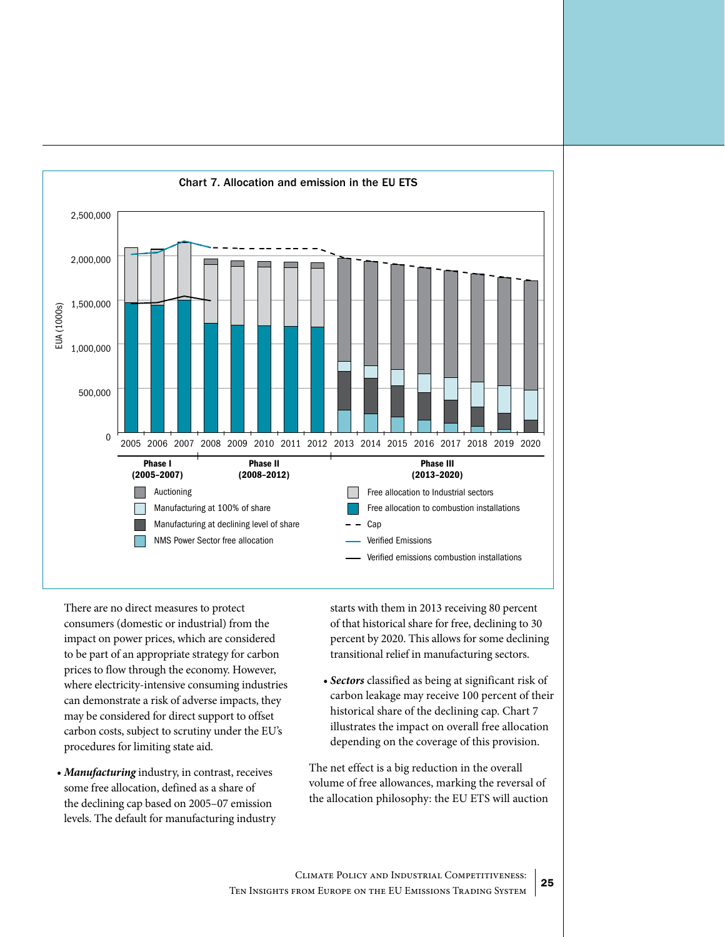

There are no direct measures to protect consumers (domestic or industrial) from the impact on power prices, which are considered to be part of an appropriate strategy for carbon prices to flow through the economy. However, where electricity-intensive consuming industries can demonstrate a risk of adverse impacts, they may be considered for direct support to offset carbon costs, subject to scrutiny under the EU's procedures for limiting state aid.

*• Manufacturing* industry, in contrast, receives some free allocation, defined as a share of the declining cap based on 2005–07 emission levels. The default for manufacturing industry starts with them in 2013 receiving 80 percent of that historical share for free, declining to 30 percent by 2020. This allows for some declining transitional relief in manufacturing sectors.

*• Sectors* classified as being at significant risk of carbon leakage may receive 100 percent of their historical share of the declining cap. Chart 7 illustrates the impact on overall free allocation depending on the coverage of this provision.

The net effect is a big reduction in the overall volume of free allowances, marking the reversal of the allocation philosophy: the EU ETS will auction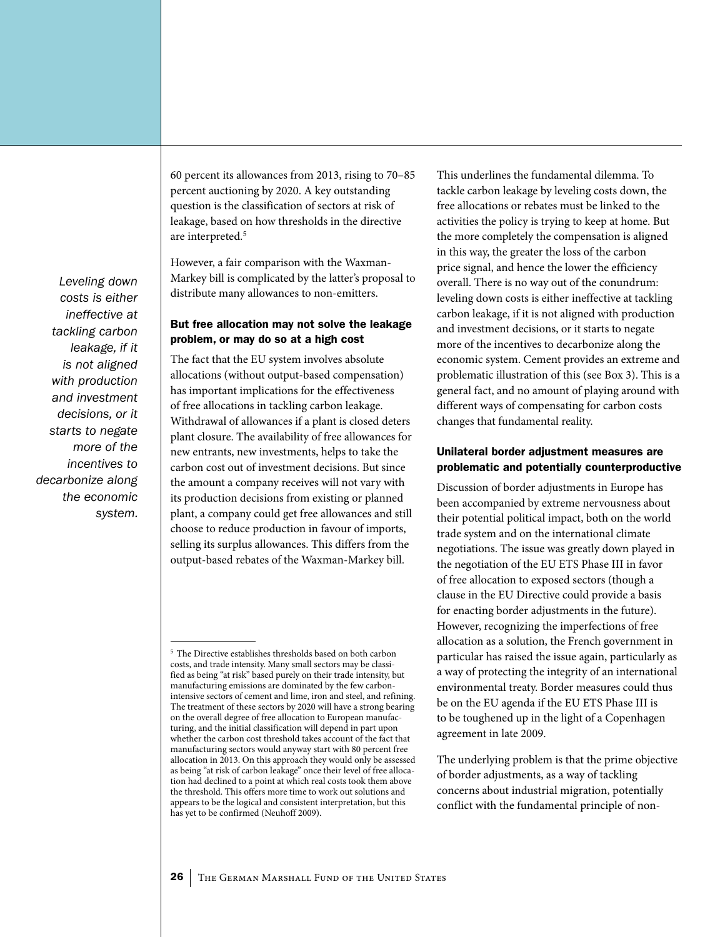*Leveling down costs is either ineffective at tackling carbon leakage, if it is not aligned with production and investment decisions, or it starts to negate more of the incentives to decarbonize along the economic system.*

60 percent its allowances from 2013, rising to 70–85 percent auctioning by 2020. A key outstanding question is the classification of sectors at risk of leakage, based on how thresholds in the directive are interpreted.<sup>5</sup>

However, a fair comparison with the Waxman-Markey bill is complicated by the latter's proposal to distribute many allowances to non-emitters.

#### But free allocation may not solve the leakage problem, or may do so at a high cost

The fact that the EU system involves absolute allocations (without output-based compensation) has important implications for the effectiveness of free allocations in tackling carbon leakage. Withdrawal of allowances if a plant is closed deters plant closure. The availability of free allowances for new entrants, new investments, helps to take the carbon cost out of investment decisions. But since the amount a company receives will not vary with its production decisions from existing or planned plant, a company could get free allowances and still choose to reduce production in favour of imports, selling its surplus allowances. This differs from the output-based rebates of the Waxman-Markey bill.

This underlines the fundamental dilemma. To tackle carbon leakage by leveling costs down, the free allocations or rebates must be linked to the activities the policy is trying to keep at home. But the more completely the compensation is aligned in this way, the greater the loss of the carbon price signal, and hence the lower the efficiency overall. There is no way out of the conundrum: leveling down costs is either ineffective at tackling carbon leakage, if it is not aligned with production and investment decisions, or it starts to negate more of the incentives to decarbonize along the economic system. Cement provides an extreme and problematic illustration of this (see Box 3). This is a general fact, and no amount of playing around with different ways of compensating for carbon costs changes that fundamental reality.

#### Unilateral border adjustment measures are problematic and potentially counterproductive

Discussion of border adjustments in Europe has been accompanied by extreme nervousness about their potential political impact, both on the world trade system and on the international climate negotiations. The issue was greatly down played in the negotiation of the EU ETS Phase III in favor of free allocation to exposed sectors (though a clause in the EU Directive could provide a basis for enacting border adjustments in the future). However, recognizing the imperfections of free allocation as a solution, the French government in particular has raised the issue again, particularly as a way of protecting the integrity of an international environmental treaty. Border measures could thus be on the EU agenda if the EU ETS Phase III is to be toughened up in the light of a Copenhagen agreement in late 2009.

The underlying problem is that the prime objective of border adjustments, as a way of tackling concerns about industrial migration, potentially conflict with the fundamental principle of non-

<sup>5</sup> The Directive establishes thresholds based on both carbon costs, and trade intensity. Many small sectors may be classified as being "at risk" based purely on their trade intensity, but manufacturing emissions are dominated by the few carbonintensive sectors of cement and lime, iron and steel, and refining. The treatment of these sectors by 2020 will have a strong bearing on the overall degree of free allocation to European manufacturing, and the initial classification will depend in part upon whether the carbon cost threshold takes account of the fact that manufacturing sectors would anyway start with 80 percent free allocation in 2013. On this approach they would only be assessed as being "at risk of carbon leakage" once their level of free allocation had declined to a point at which real costs took them above the threshold. This offers more time to work out solutions and appears to be the logical and consistent interpretation, but this has yet to be confirmed (Neuhoff 2009).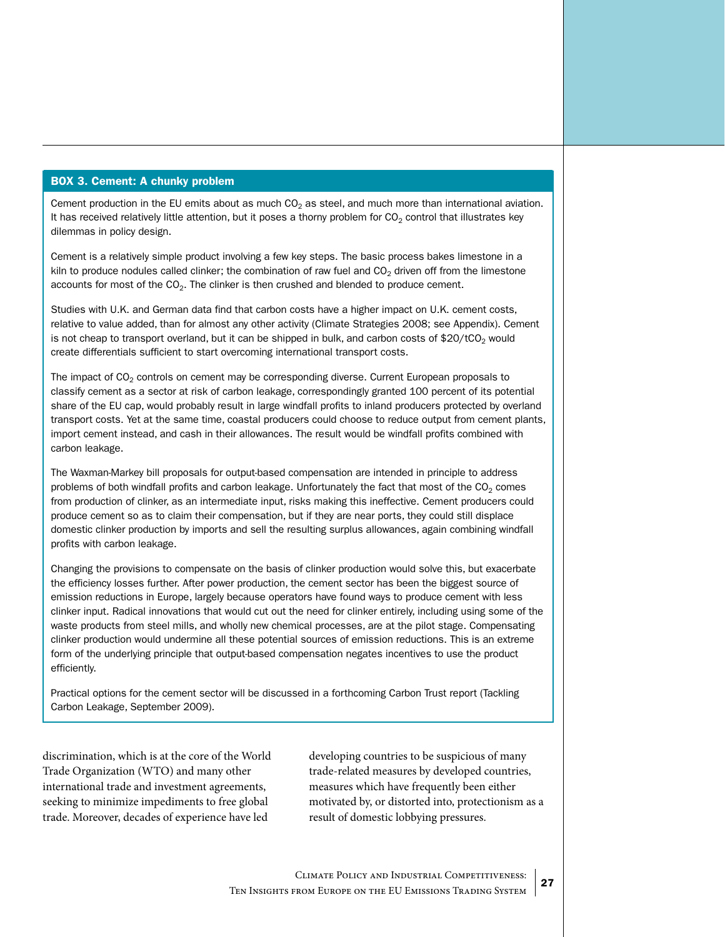#### BOX 3. Cement: a chunky problem

Cement production in the EU emits about as much  $CO<sub>2</sub>$  as steel, and much more than international aviation. It has received relatively little attention, but it poses a thorny problem for  $CO<sub>2</sub>$  control that illustrates key dilemmas in policy design.

Cement is a relatively simple product involving a few key steps. The basic process bakes limestone in a kiln to produce nodules called clinker; the combination of raw fuel and  $CO<sub>2</sub>$  driven off from the limestone accounts for most of the  $CO<sub>2</sub>$ . The clinker is then crushed and blended to produce cement.

Studies with U.K. and German data find that carbon costs have a higher impact on U.K. cement costs, relative to value added, than for almost any other activity (Climate Strategies 2008; see Appendix). Cement is not cheap to transport overland, but it can be shipped in bulk, and carbon costs of \$20/tCO<sub>2</sub> would create differentials sufficient to start overcoming international transport costs.

The impact of  $CO<sub>2</sub>$  controls on cement may be corresponding diverse. Current European proposals to classify cement as a sector at risk of carbon leakage, correspondingly granted 100 percent of its potential share of the EU cap, would probably result in large windfall profits to inland producers protected by overland transport costs. Yet at the same time, coastal producers could choose to reduce output from cement plants, import cement instead, and cash in their allowances. The result would be windfall profits combined with carbon leakage.

The Waxman-Markey bill proposals for output-based compensation are intended in principle to address problems of both windfall profits and carbon leakage. Unfortunately the fact that most of the  $CO<sub>2</sub>$  comes from production of clinker, as an intermediate input, risks making this ineffective. Cement producers could produce cement so as to claim their compensation, but if they are near ports, they could still displace domestic clinker production by imports and sell the resulting surplus allowances, again combining windfall profits with carbon leakage.

Changing the provisions to compensate on the basis of clinker production would solve this, but exacerbate the efficiency losses further. After power production, the cement sector has been the biggest source of emission reductions in Europe, largely because operators have found ways to produce cement with less clinker input. Radical innovations that would cut out the need for clinker entirely, including using some of the waste products from steel mills, and wholly new chemical processes, are at the pilot stage. Compensating clinker production would undermine all these potential sources of emission reductions. This is an extreme form of the underlying principle that output-based compensation negates incentives to use the product efficiently.

Practical options for the cement sector will be discussed in a forthcoming Carbon Trust report (Tackling Carbon Leakage, September 2009).

discrimination, which is at the core of the World Trade Organization (WTO) and many other international trade and investment agreements, seeking to minimize impediments to free global trade. Moreover, decades of experience have led

developing countries to be suspicious of many trade-related measures by developed countries, measures which have frequently been either motivated by, or distorted into, protectionism as a result of domestic lobbying pressures.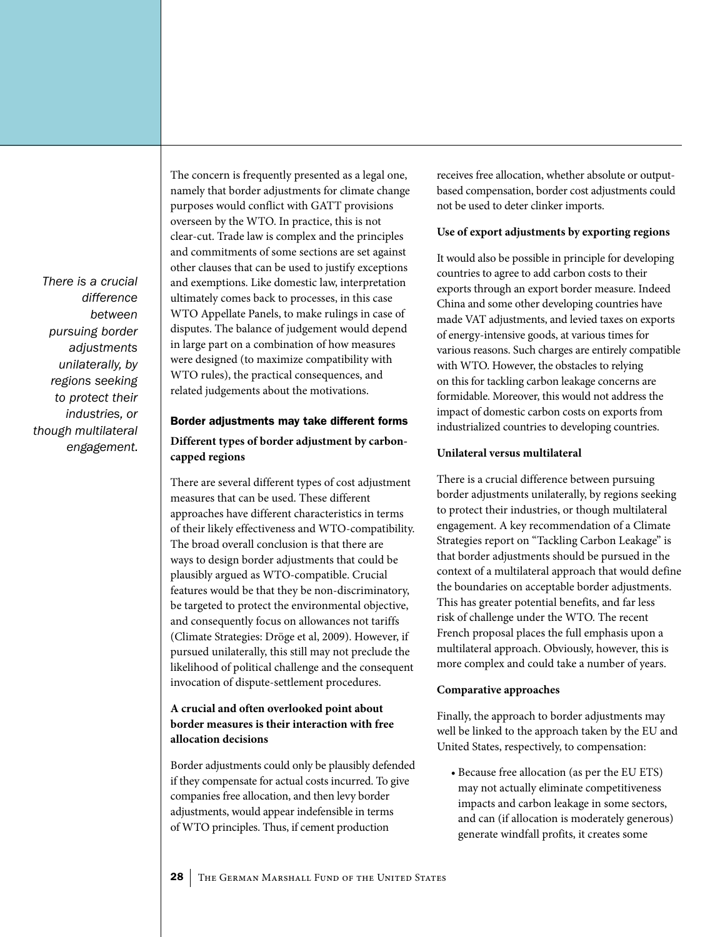*There is a crucial difference between pursuing border adjustments unilaterally, by regions seeking to protect their industries, or though multilateral engagement.* The concern is frequently presented as a legal one, namely that border adjustments for climate change purposes would conflict with GATT provisions overseen by the WTO. In practice, this is not clear-cut. Trade law is complex and the principles and commitments of some sections are set against other clauses that can be used to justify exceptions and exemptions. Like domestic law, interpretation ultimately comes back to processes, in this case WTO Appellate Panels, to make rulings in case of disputes. The balance of judgement would depend in large part on a combination of how measures were designed (to maximize compatibility with WTO rules), the practical consequences, and related judgements about the motivations.

#### Border adjustments may take different forms **Different types of border adjustment by carboncapped regions**

There are several different types of cost adjustment measures that can be used. These different approaches have different characteristics in terms of their likely effectiveness and WTO-compatibility. The broad overall conclusion is that there are ways to design border adjustments that could be plausibly argued as WTO-compatible. Crucial features would be that they be non-discriminatory, be targeted to protect the environmental objective, and consequently focus on allowances not tariffs (Climate Strategies: Dröge et al, 2009). However, if pursued unilaterally, this still may not preclude the likelihood of political challenge and the consequent invocation of dispute-settlement procedures.

#### **A crucial and often overlooked point about border measures is their interaction with free allocation decisions**

Border adjustments could only be plausibly defended if they compensate for actual costs incurred. To give companies free allocation, and then levy border adjustments, would appear indefensible in terms of WTO principles. Thus, if cement production

receives free allocation, whether absolute or outputbased compensation, border cost adjustments could not be used to deter clinker imports.

#### **Use of export adjustments by exporting regions**

It would also be possible in principle for developing countries to agree to add carbon costs to their exports through an export border measure. Indeed China and some other developing countries have made VAT adjustments, and levied taxes on exports of energy-intensive goods, at various times for various reasons. Such charges are entirely compatible with WTO. However, the obstacles to relying on this for tackling carbon leakage concerns are formidable. Moreover, this would not address the impact of domestic carbon costs on exports from industrialized countries to developing countries.

#### **Unilateral versus multilateral**

There is a crucial difference between pursuing border adjustments unilaterally, by regions seeking to protect their industries, or though multilateral engagement. A key recommendation of a Climate Strategies report on "Tackling Carbon Leakage" is that border adjustments should be pursued in the context of a multilateral approach that would define the boundaries on acceptable border adjustments. This has greater potential benefits, and far less risk of challenge under the WTO. The recent French proposal places the full emphasis upon a multilateral approach. Obviously, however, this is more complex and could take a number of years.

#### **Comparative approaches**

Finally, the approach to border adjustments may well be linked to the approach taken by the EU and United States, respectively, to compensation:

• Because free allocation (as per the EU ETS) may not actually eliminate competitiveness impacts and carbon leakage in some sectors, and can (if allocation is moderately generous) generate windfall profits, it creates some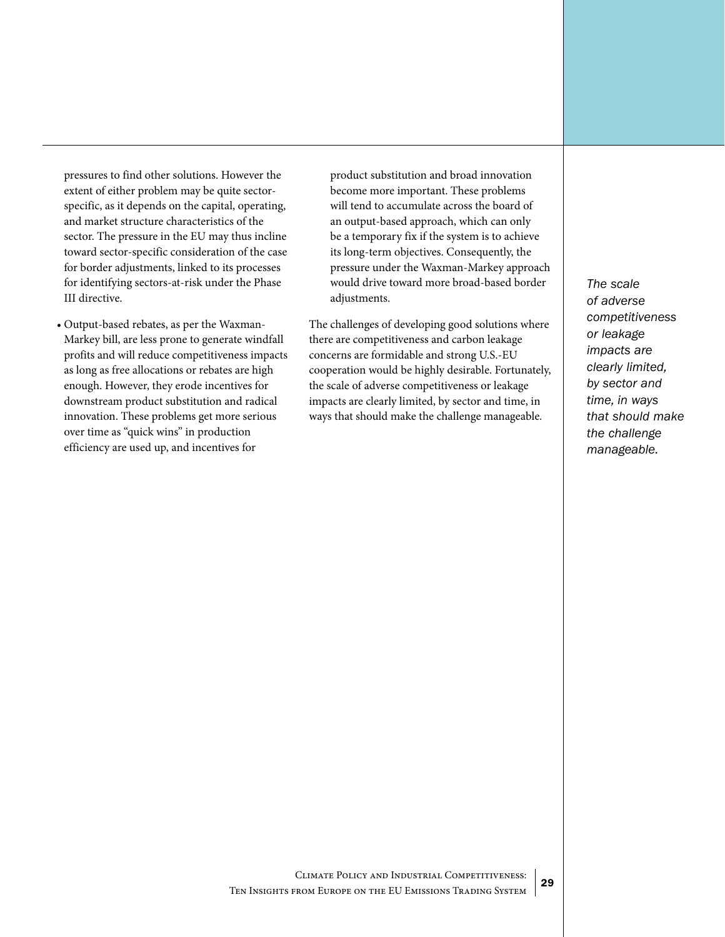pressures to find other solutions. However the extent of either problem may be quite sectorspecific, as it depends on the capital, operating, and market structure characteristics of the sector. The pressure in the EU may thus incline toward sector-specific consideration of the case for border adjustments, linked to its processes for identifying sectors-at-risk under the Phase III directive.

• Output-based rebates, as per the Waxman-Markey bill, are less prone to generate windfall profits and will reduce competitiveness impacts as long as free allocations or rebates are high enough. However, they erode incentives for downstream product substitution and radical innovation. These problems get more serious over time as "quick wins" in production efficiency are used up, and incentives for

product substitution and broad innovation become more important. These problems will tend to accumulate across the board of an output-based approach, which can only be a temporary fix if the system is to achieve its long-term objectives. Consequently, the pressure under the Waxman-Markey approach would drive toward more broad-based border adjustments.

The challenges of developing good solutions where there are competitiveness and carbon leakage concerns are formidable and strong U.S.-EU cooperation would be highly desirable. Fortunately, the scale of adverse competitiveness or leakage impacts are clearly limited, by sector and time, in ways that should make the challenge manageable.

*The scale of adverse competitiveness or leakage impacts are clearly limited, by sector and time, in ways that should make the challenge manageable.*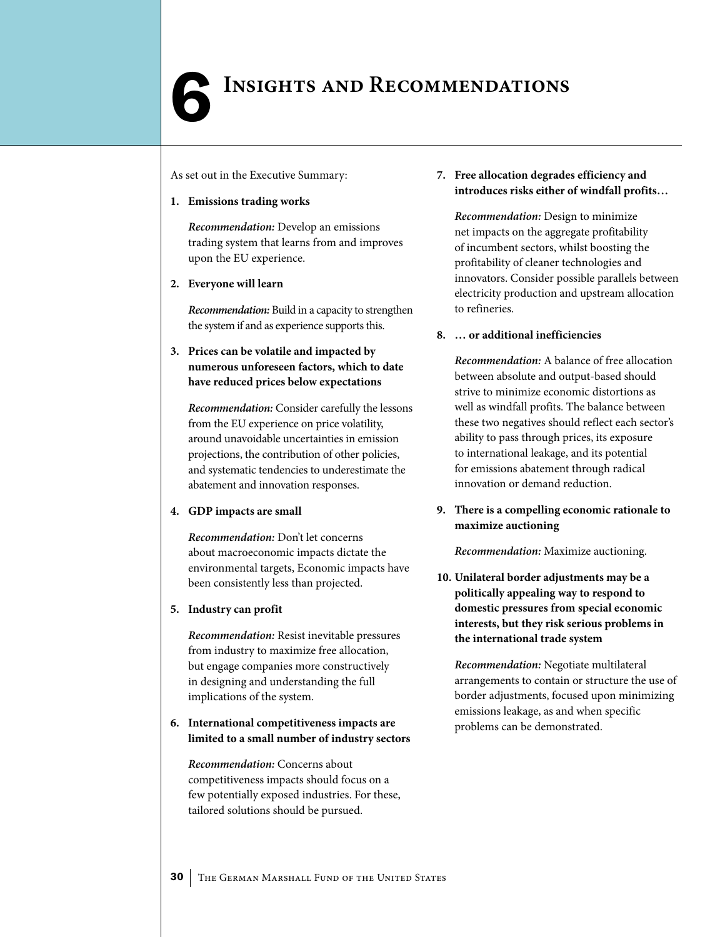## <span id="page-29-0"></span>**INSIGHTS AND RECOMMENDATIONS**

As set out in the Executive Summary:

#### **1. Emissions trading works**

*Recommendation:* Develop an emissions trading system that learns from and improves upon the EU experience.

**2. Everyone will learn**

*Recommendation:* Build in a capacity to strengthen the system if and as experience supports this.

**3. Prices can be volatile and impacted by numerous unforeseen factors, which to date have reduced prices below expectations**

*Recommendation:* Consider carefully the lessons from the EU experience on price volatility, around unavoidable uncertainties in emission projections, the contribution of other policies, and systematic tendencies to underestimate the abatement and innovation responses.

#### **4. GDP impacts are small**

*Recommendation:* Don't let concerns about macroeconomic impacts dictate the environmental targets, Economic impacts have been consistently less than projected.

#### **5. Industry can profit**

*Recommendation:* Resist inevitable pressures from industry to maximize free allocation, but engage companies more constructively in designing and understanding the full implications of the system.

#### **6. International competitiveness impacts are limited to a small number of industry sectors**

*Recommendation:* Concerns about competitiveness impacts should focus on a few potentially exposed industries. For these, tailored solutions should be pursued.

#### **7. Free allocation degrades efficiency and introduces risks either of windfall profits…**

*Recommendation:* Design to minimize net impacts on the aggregate profitability of incumbent sectors, whilst boosting the profitability of cleaner technologies and innovators. Consider possible parallels between electricity production and upstream allocation to refineries.

#### **8. … or additional inefficiencies**

*Recommendation:* A balance of free allocation between absolute and output-based should strive to minimize economic distortions as well as windfall profits. The balance between these two negatives should reflect each sector's ability to pass through prices, its exposure to international leakage, and its potential for emissions abatement through radical innovation or demand reduction.

#### **9. There is a compelling economic rationale to maximize auctioning**

*Recommendation:* Maximize auctioning.

**10. Unilateral border adjustments may be a politically appealing way to respond to domestic pressures from special economic interests, but they risk serious problems in the international trade system**

*Recommendation:* Negotiate multilateral arrangements to contain or structure the use of border adjustments, focused upon minimizing emissions leakage, as and when specific problems can be demonstrated.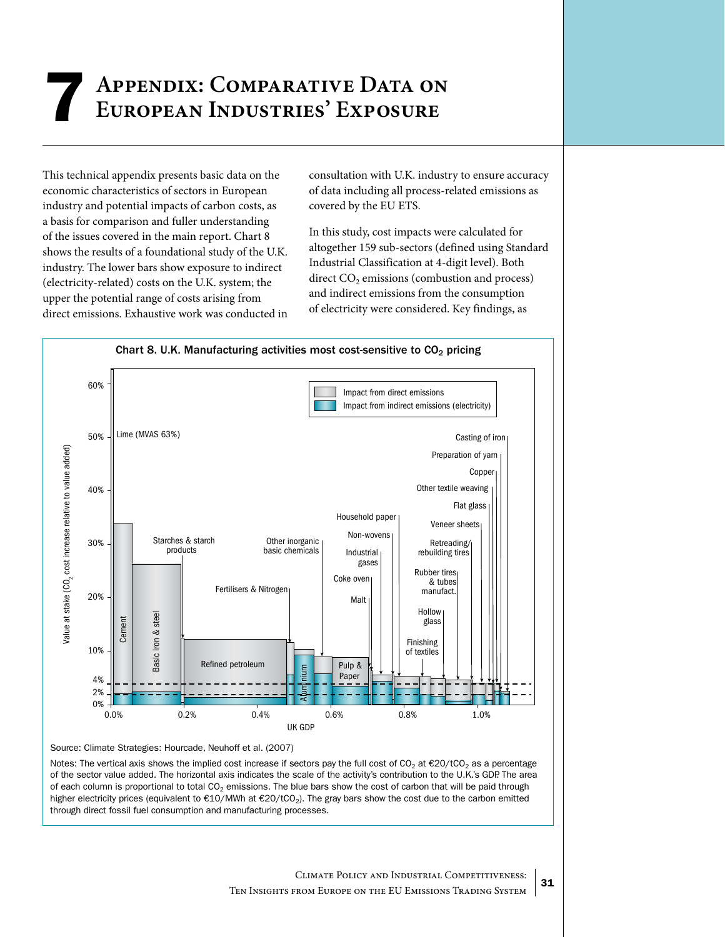## <span id="page-30-0"></span>**Appendix: Comparative Data on** 7**European Industries' Exposure**

This technical appendix presents basic data on the economic characteristics of sectors in European industry and potential impacts of carbon costs, as a basis for comparison and fuller understanding of the issues covered in the main report. Chart 8 shows the results of a foundational study of the U.K. industry. The lower bars show exposure to indirect (electricity-related) costs on the U.K. system; the upper the potential range of costs arising from direct emissions. Exhaustive work was conducted in

consultation with U.K. industry to ensure accuracy of data including all process-related emissions as covered by the EU ETS.

In this study, cost impacts were calculated for altogether 159 sub-sectors (defined using Standard Industrial Classification at 4-digit level). Both direct  $CO<sub>2</sub>$  emissions (combustion and process) and indirect emissions from the consumption of electricity were considered. Key findings, as



Source: Climate Strategies: Hourcade, Neuhoff et al. (2007)

Notes: The vertical axis shows the implied cost increase if sectors pay the full cost of CO<sub>2</sub> at  $\epsilon$ 20/tCO<sub>2</sub> as a percentage of the sector value added. The horizontal axis indicates the scale of the activity's contribution to the U.K.'s GDP. The area of each column is proportional to total  $CO<sub>2</sub>$  emissions. The blue bars show the cost of carbon that will be paid through higher electricity prices (equivalent to €10/MWh at €20/tCO2). The gray bars show the cost due to the carbon emitted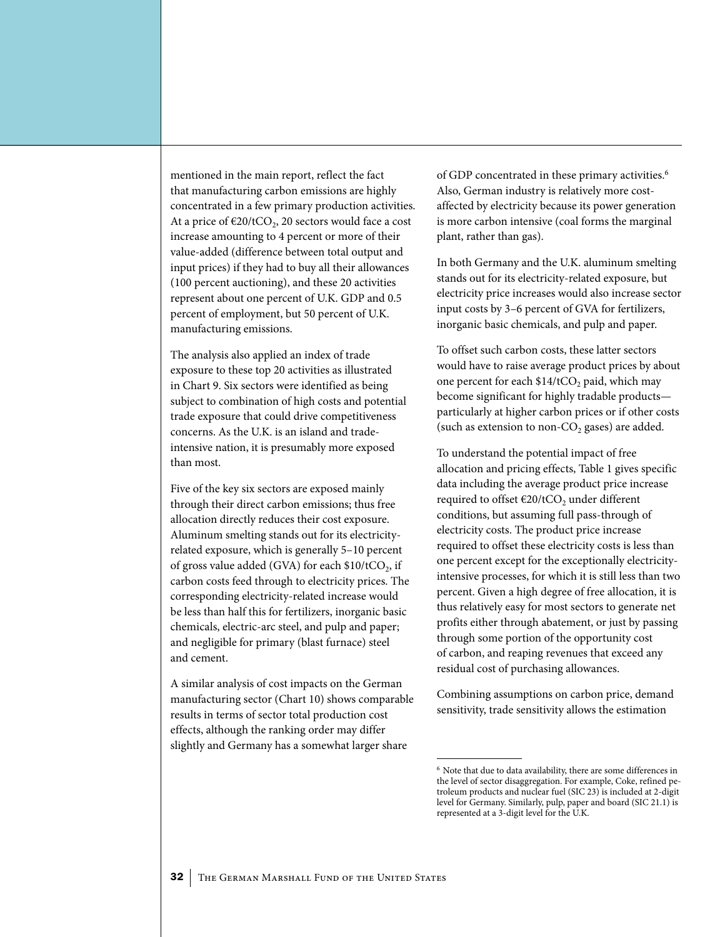mentioned in the main report, reflect the fact that manufacturing carbon emissions are highly concentrated in a few primary production activities. At a price of  $\epsilon$ 20/tCO<sub>2</sub>, 20 sectors would face a cost increase amounting to 4 percent or more of their value-added (difference between total output and input prices) if they had to buy all their allowances (100 percent auctioning), and these 20 activities represent about one percent of U.K. GDP and 0.5 percent of employment, but 50 percent of U.K. manufacturing emissions.

The analysis also applied an index of trade exposure to these top 20 activities as illustrated in Chart 9. Six sectors were identified as being subject to combination of high costs and potential trade exposure that could drive competitiveness concerns. As the U.K. is an island and tradeintensive nation, it is presumably more exposed than most.

Five of the key six sectors are exposed mainly through their direct carbon emissions; thus free allocation directly reduces their cost exposure. Aluminum smelting stands out for its electricityrelated exposure, which is generally 5–10 percent of gross value added (GVA) for each  $$10/tCO<sub>2</sub>$ , if carbon costs feed through to electricity prices. The corresponding electricity-related increase would be less than half this for fertilizers, inorganic basic chemicals, electric-arc steel, and pulp and paper; and negligible for primary (blast furnace) steel and cement.

A similar analysis of cost impacts on the German manufacturing sector (Chart 10) shows comparable results in terms of sector total production cost effects, although the ranking order may differ slightly and Germany has a somewhat larger share

of GDP concentrated in these primary activities.<sup>6</sup> Also, German industry is relatively more costaffected by electricity because its power generation is more carbon intensive (coal forms the marginal plant, rather than gas).

In both Germany and the U.K. aluminum smelting stands out for its electricity-related exposure, but electricity price increases would also increase sector input costs by 3–6 percent of GVA for fertilizers, inorganic basic chemicals, and pulp and paper.

To offset such carbon costs, these latter sectors would have to raise average product prices by about one percent for each  $$14/tCO<sub>2</sub>$  paid, which may become significant for highly tradable products particularly at higher carbon prices or if other costs (such as extension to non- $CO<sub>2</sub>$  gases) are added.

To understand the potential impact of free allocation and pricing effects, Table 1 gives specific data including the average product price increase required to offset  $\epsilon$ 20/tCO<sub>2</sub> under different conditions, but assuming full pass-through of electricity costs. The product price increase required to offset these electricity costs is less than one percent except for the exceptionally electricityintensive processes, for which it is still less than two percent. Given a high degree of free allocation, it is thus relatively easy for most sectors to generate net profits either through abatement, or just by passing through some portion of the opportunity cost of carbon, and reaping revenues that exceed any residual cost of purchasing allowances.

Combining assumptions on carbon price, demand sensitivity, trade sensitivity allows the estimation

<sup>6</sup> Note that due to data availability, there are some differences in the level of sector disaggregation. For example, Coke, refined petroleum products and nuclear fuel (SIC 23) is included at 2-digit level for Germany. Similarly, pulp, paper and board (SIC 21.1) is represented at a 3-digit level for the U.K.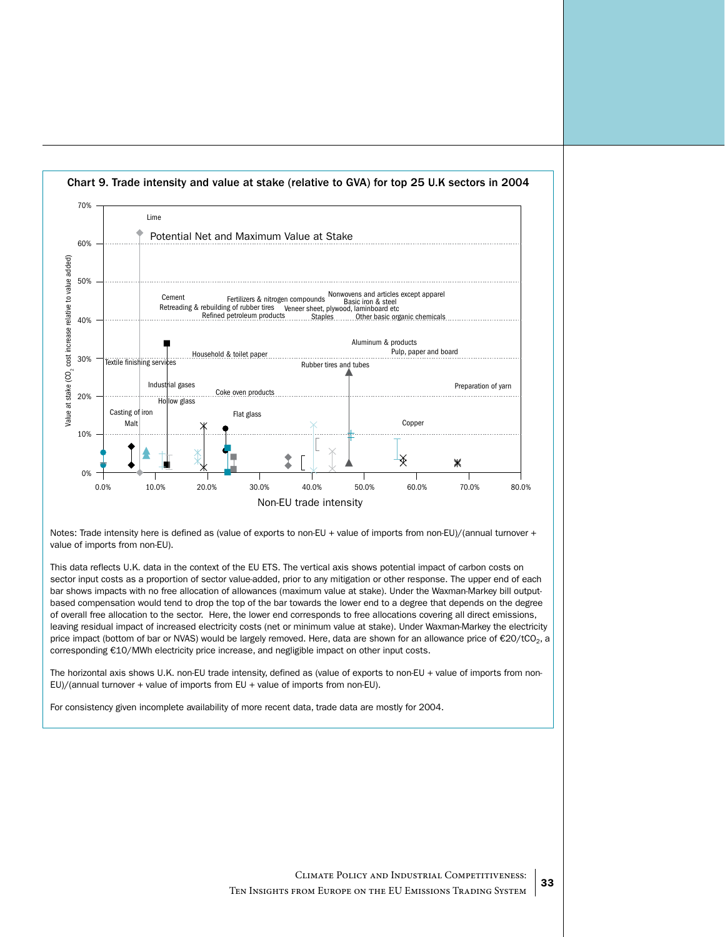

Notes: Trade intensity here is defined as (value of exports to non-EU + value of imports from non-EU)/(annual turnover + value of imports from non-EU).

This data reflects U.K. data in the context of the EU ETS. The vertical axis shows potential impact of carbon costs on sector input costs as a proportion of sector value-added, prior to any mitigation or other response. The upper end of each bar shows impacts with no free allocation of allowances (maximum value at stake). Under the Waxman-Markey bill outputbased compensation would tend to drop the top of the bar towards the lower end to a degree that depends on the degree of overall free allocation to the sector. Here, the lower end corresponds to free allocations covering all direct emissions, leaving residual impact of increased electricity costs (net or minimum value at stake). Under Waxman-Markey the electricity price impact (bottom of bar or NVAS) would be largely removed. Here, data are shown for an allowance price of €20/tCO<sub>2</sub>, a corresponding €10/MWh electricity price increase, and negligible impact on other input costs.

The horizontal axis shows U.K. non-EU trade intensity, defined as (value of exports to non-EU + value of imports from non-EU)/(annual turnover + value of imports from EU + value of imports from non-EU).

For consistency given incomplete availability of more recent data, trade data are mostly for 2004.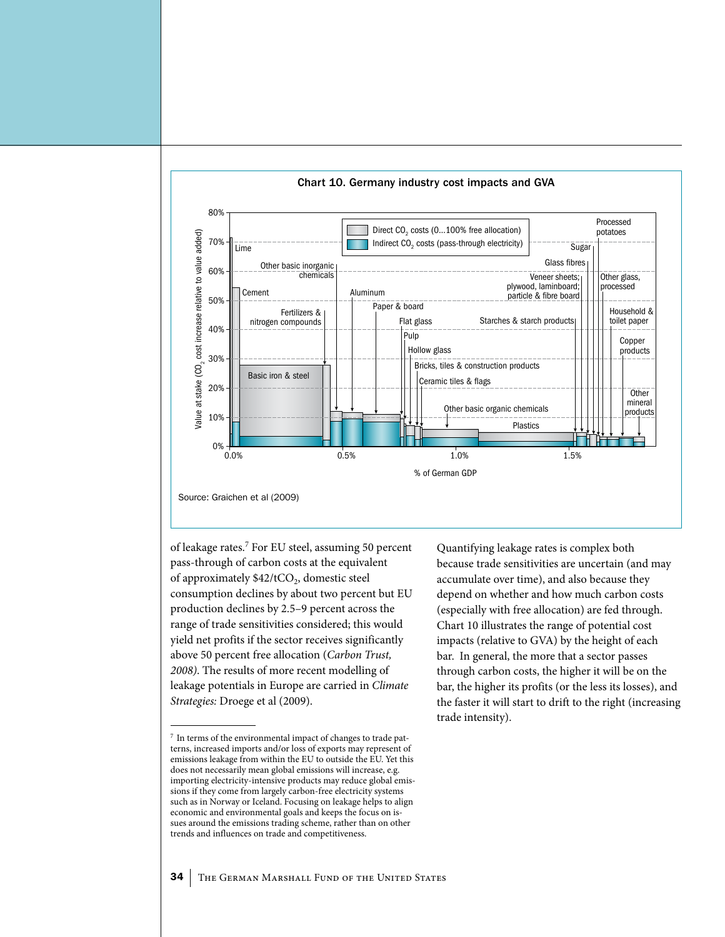

Chart 10. Germany industry cost impacts and GVA

of leakage rates.<sup>7</sup> For EU steel, assuming 50 percent pass-through of carbon costs at the equivalent of approximately  $$42/tCO<sub>2</sub>,$  domestic steel consumption declines by about two percent but EU production declines by 2.5–9 percent across the range of trade sensitivities considered; this would yield net profits if the sector receives significantly above 50 percent free allocation (*Carbon Trust, 2008)*. The results of more recent modelling of leakage potentials in Europe are carried in *Climate Strategies:* Droege et al (2009).

Quantifying leakage rates is complex both because trade sensitivities are uncertain (and may accumulate over time), and also because they depend on whether and how much carbon costs (especially with free allocation) are fed through. Chart 10 illustrates the range of potential cost impacts (relative to GVA) by the height of each bar. In general, the more that a sector passes through carbon costs, the higher it will be on the bar, the higher its profits (or the less its losses), and the faster it will start to drift to the right (increasing trade intensity).

<sup>7</sup> In terms of the environmental impact of changes to trade patterns, increased imports and/or loss of exports may represent of emissions leakage from within the EU to outside the EU. Yet this does not necessarily mean global emissions will increase, e.g. importing electricity-intensive products may reduce global emissions if they come from largely carbon-free electricity systems such as in Norway or Iceland. Focusing on leakage helps to align economic and environmental goals and keeps the focus on issues around the emissions trading scheme, rather than on other trends and influences on trade and competitiveness.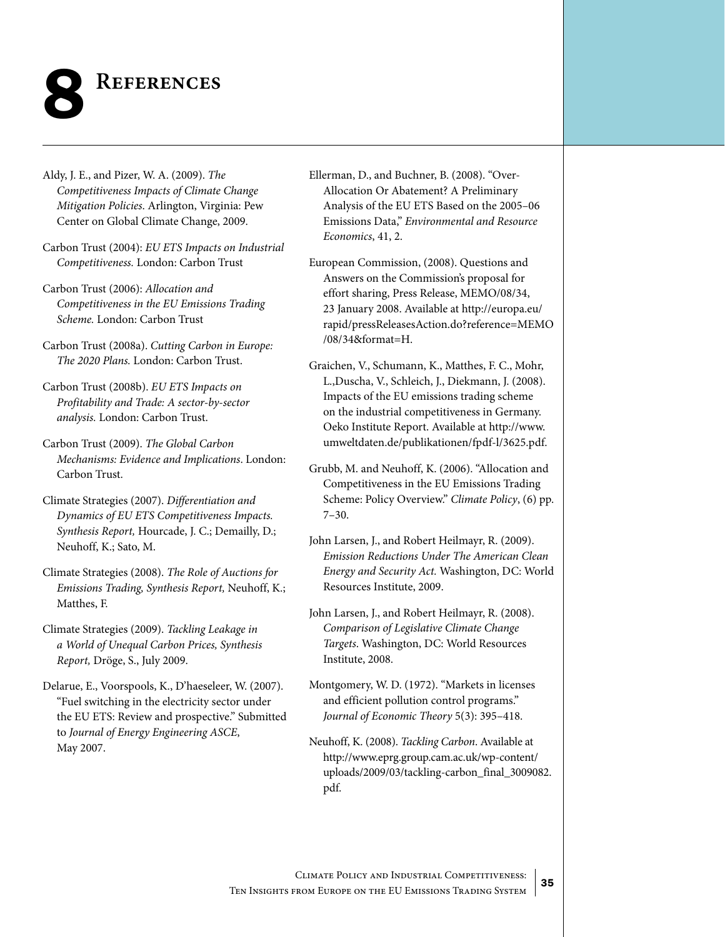<span id="page-34-0"></span>

Aldy, J. E., and Pizer, W. A. (2009). *The Competitiveness Impacts of Climate Change Mitigation Policies*. Arlington, Virginia: Pew Center on Global Climate Change, 2009.

Carbon Trust (2004): *EU ETS Impacts on Industrial Competitiveness.* London: Carbon Trust

- Carbon Trust (2006): *Allocation and Competitiveness in the EU Emissions Trading Scheme.* London: Carbon Trust
- Carbon Trust (2008a). *Cutting Carbon in Europe: The 2020 Plans.* London: Carbon Trust.
- Carbon Trust (2008b). *EU ETS Impacts on Profitability and Trade: A sector-by-sector analysis.* London: Carbon Trust.
- Carbon Trust (2009). *The Global Carbon Mechanisms: Evidence and Implications*. London: Carbon Trust.
- Climate Strategies (2007). *Differentiation and Dynamics of EU ETS Competitiveness Impacts. Synthesis Report,* Hourcade, J. C.; Demailly, D.; Neuhoff, K.; Sato, M.
- Climate Strategies (2008). *The Role of Auctions for Emissions Trading, Synthesis Report,* Neuhoff, K.; Matthes, F.
- Climate Strategies (2009). *Tackling Leakage in a World of Unequal Carbon Prices, Synthesis Report,* Dröge, S., July 2009.
- Delarue, E., Voorspools, K., D'haeseleer, W. (2007). "Fuel switching in the electricity sector under the EU ETS: Review and prospective." Submitted to *Journal of Energy Engineering ASCE*, May 2007.
- Ellerman, D., and Buchner, B. (2008). "Over-Allocation Or Abatement? A Preliminary Analysis of the EU ETS Based on the 2005–06 Emissions Data," *Environmental and Resource Economics*, 41, 2.
- European Commission, (2008). Questions and Answers on the Commission's proposal for effort sharing, Press Release, MEMO/08/34, 23 January 2008. Available at http://europa.eu/ rapid/pressReleasesAction.do?reference=MEMO /08/34&format=H.
- Graichen, V., Schumann, K., Matthes, F. C., Mohr, L.,Duscha, V., Schleich, J., Diekmann, J. (2008). Impacts of the EU emissions trading scheme on the industrial competitiveness in Germany. Oeko Institute Report. Available at http://www. umweltdaten.de/publikationen/fpdf-l/3625.pdf.
- Grubb, M. and Neuhoff, K. (2006). "Allocation and Competitiveness in the EU Emissions Trading Scheme: Policy Overview." *Climate Policy*, (6) pp. 7–30.
- John Larsen, J., and Robert Heilmayr, R. (2009). *Emission Reductions Under The American Clean Energy and Security Act.* Washington, DC: World Resources Institute, 2009.
- John Larsen, J., and Robert Heilmayr, R. (2008). *Comparison of Legislative Climate Change Targets*. Washington, DC: World Resources Institute, 2008.
- Montgomery, W. D. (1972). "Markets in licenses and efficient pollution control programs." *Journal of Economic Theory* 5(3): 395–418.
- Neuhoff, K. (2008). *Tackling Carbon*. Available at http://www.eprg.group.cam.ac.uk/wp-content/ uploads/2009/03/tackling-carbon\_final\_3009082. pdf.